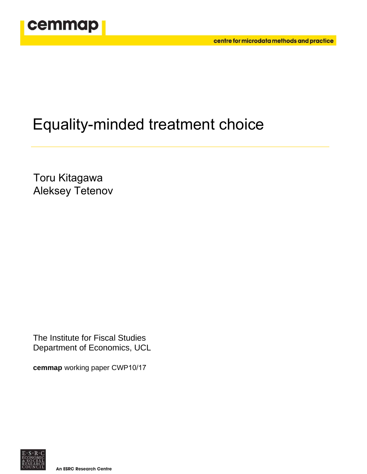

# Equality-minded treatment choice

Toru Kitagawa Aleksey Tetenov

The Institute for Fiscal Studies Department of Economics, UCL

**cemmap** working paper CWP10/17

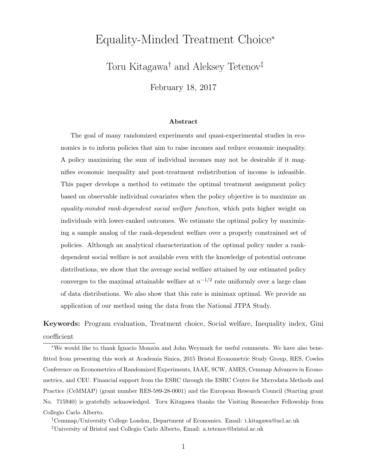# Equality-Minded Treatment Choice<sup>∗</sup>

Toru Kitagawa† and Aleksey Tetenov‡

February 18, 2017

#### Abstract

The goal of many randomized experiments and quasi-experimental studies in economics is to inform policies that aim to raise incomes and reduce economic inequality. A policy maximizing the sum of individual incomes may not be desirable if it magnifies economic inequality and post-treatment redistribution of income is infeasible. This paper develops a method to estimate the optimal treatment assignment policy based on observable individual covariates when the policy objective is to maximize an equality-minded rank-dependent social welfare function, which puts higher weight on individuals with lower-ranked outcomes. We estimate the optimal policy by maximizing a sample analog of the rank-dependent welfare over a properly constrained set of policies. Although an analytical characterization of the optimal policy under a rankdependent social welfare is not available even with the knowledge of potential outcome distributions, we show that the average social welfare attained by our estimated policy converges to the maximal attainable welfare at  $n^{-1/2}$  rate uniformly over a large class of data distributions. We also show that this rate is minimax optimal. We provide an application of our method using the data from the National JTPA Study.

Keywords: Program evaluation, Treatment choice, Social welfare, Inequality index, Gini coefficient

<sup>∗</sup>We would like to thank Ignacio Monz´on and John Weymark for useful comments. We have also benefitted from presenting this work at Academia Sinica, 2015 Bristol Econometric Study Group, RES, Cowles Conference on Econometrics of Randomized Experiments, IAAE, SCW, AMES, Cemmap Advances in Econometrics, and CEU. Financial support from the ESRC through the ESRC Centre for Microdata Methods and Practice (CeMMAP) (grant number RES-589-28-0001) and the European Research Council (Starting grant No. 715940) is gratefully acknowledged. Toru Kitagawa thanks the Visiting Researcher Fellowship from Collegio Carlo Alberto.

<sup>†</sup>Cemmap/University College London, Department of Economics. Email: t.kitagawa@ucl.ac.uk ‡University of Bristol and Collegio Carlo Alberto, Email: a.tetenov@bristol.ac.uk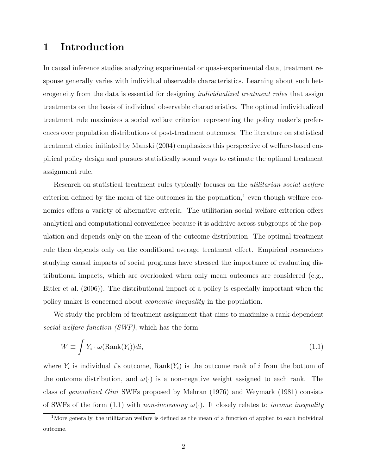# 1 Introduction

In causal inference studies analyzing experimental or quasi-experimental data, treatment response generally varies with individual observable characteristics. Learning about such heterogeneity from the data is essential for designing *individualized treatment rules* that assign treatments on the basis of individual observable characteristics. The optimal individualized treatment rule maximizes a social welfare criterion representing the policy maker's preferences over population distributions of post-treatment outcomes. The literature on statistical treatment choice initiated by Manski (2004) emphasizes this perspective of welfare-based empirical policy design and pursues statistically sound ways to estimate the optimal treatment assignment rule.

Research on statistical treatment rules typically focuses on the *utilitarian social welfare* criterion defined by the mean of the outcomes in the population,<sup>1</sup> even though welfare economics offers a variety of alternative criteria. The utilitarian social welfare criterion offers analytical and computational convenience because it is additive across subgroups of the population and depends only on the mean of the outcome distribution. The optimal treatment rule then depends only on the conditional average treatment effect. Empirical researchers studying causal impacts of social programs have stressed the importance of evaluating distributional impacts, which are overlooked when only mean outcomes are considered (e.g., Bitler et al. (2006)). The distributional impact of a policy is especially important when the policy maker is concerned about economic inequality in the population.

We study the problem of treatment assignment that aims to maximize a rank-dependent social welfare function (SWF), which has the form

$$
W \equiv \int Y_i \cdot \omega(\text{Rank}(Y_i))di,
$$
\n(1.1)

where  $Y_i$  is individual i's outcome,  $\text{Rank}(Y_i)$  is the outcome rank of i from the bottom of the outcome distribution, and  $\omega(\cdot)$  is a non-negative weight assigned to each rank. The class of generalized Gini SWFs proposed by Mehran (1976) and Weymark (1981) consists of SWFs of the form (1.1) with non-increasing  $\omega(\cdot)$ . It closely relates to income inequality

<sup>&</sup>lt;sup>1</sup>More generally, the utilitarian welfare is defined as the mean of a function of applied to each individual outcome.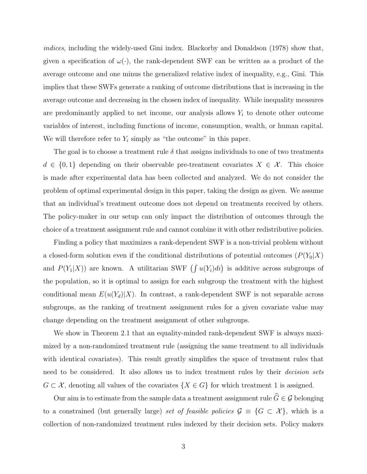indices, including the widely-used Gini index. Blackorby and Donaldson (1978) show that, given a specification of  $\omega(\cdot)$ , the rank-dependent SWF can be written as a product of the average outcome and one minus the generalized relative index of inequality, e.g., Gini. This implies that these SWFs generate a ranking of outcome distributions that is increasing in the average outcome and decreasing in the chosen index of inequality. While inequality measures are predominantly applied to net income, our analysis allows  $Y_i$  to denote other outcome variables of interest, including functions of income, consumption, wealth, or human capital. We will therefore refer to  $Y_i$  simply as "the outcome" in this paper.

The goal is to choose a treatment rule  $\delta$  that assigns individuals to one of two treatments  $d \in \{0,1\}$  depending on their observable pre-treatment covariates  $X \in \mathcal{X}$ . This choice is made after experimental data has been collected and analyzed. We do not consider the problem of optimal experimental design in this paper, taking the design as given. We assume that an individual's treatment outcome does not depend on treatments received by others. The policy-maker in our setup can only impact the distribution of outcomes through the choice of a treatment assignment rule and cannot combine it with other redistributive policies.

Finding a policy that maximizes a rank-dependent SWF is a non-trivial problem without a closed-form solution even if the conditional distributions of potential outcomes  $(P(Y_0|X))$ and  $P(Y_1|X)$  are known. A utilitarian SWF  $\left(\int u(Y_i)di\right)$  is additive across subgroups of the population, so it is optimal to assign for each subgroup the treatment with the highest conditional mean  $E(u(Y_d)|X)$ . In contrast, a rank-dependent SWF is not separable across subgroups, as the ranking of treatment assignment rules for a given covariate value may change depending on the treatment assignment of other subgroups.

We show in Theorem 2.1 that an equality-minded rank-dependent SWF is always maximized by a non-randomized treatment rule (assigning the same treatment to all individuals with identical covariates). This result greatly simplifies the space of treatment rules that need to be considered. It also allows us to index treatment rules by their *decision sets*  $G \subset \mathcal{X}$ , denoting all values of the covariates  $\{X \in G\}$  for which treatment 1 is assigned.

Our aim is to estimate from the sample data a treatment assignment rule  $\widehat{G} \in \mathcal{G}$  belonging to a constrained (but generally large) set of feasible policies  $\mathcal{G} \equiv \{G \subset \mathcal{X}\}\$ , which is a collection of non-randomized treatment rules indexed by their decision sets. Policy makers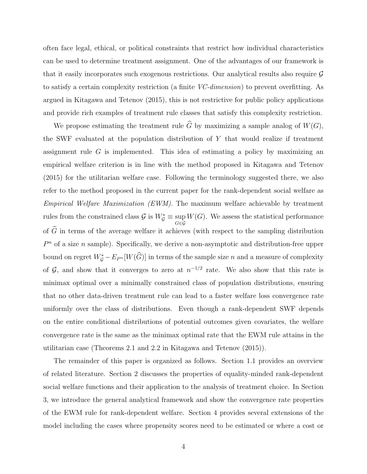often face legal, ethical, or political constraints that restrict how individual characteristics can be used to determine treatment assignment. One of the advantages of our framework is that it easily incorporates such exogenous restrictions. Our analytical results also require G to satisfy a certain complexity restriction (a finite  $VC$ -dimension) to prevent overfitting. As argued in Kitagawa and Tetenov (2015), this is not restrictive for public policy applications and provide rich examples of treatment rule classes that satisfy this complexity restriction.

We propose estimating the treatment rule  $\widehat{G}$  by maximizing a sample analog of  $W(G)$ , the SWF evaluated at the population distribution of  $Y$  that would realize if treatment assignment rule  $G$  is implemented. This idea of estimating a policy by maximizing an empirical welfare criterion is in line with the method proposed in Kitagawa and Tetenov (2015) for the utilitarian welfare case. Following the terminology suggested there, we also refer to the method proposed in the current paper for the rank-dependent social welfare as Empirical Welfare Maximization (EWM). The maximum welfare achievable by treatment rules from the constrained class  $\mathcal{G}$  is  $W_{\mathcal{G}}^* \equiv \sup_{G \in \mathcal{G}}$  $W(G)$ . We assess the statistical performance of  $\widehat{G}$  in terms of the average welfare it achieves (with respect to the sampling distribution  $P<sup>n</sup>$  of a size n sample). Specifically, we derive a non-asymptotic and distribution-free upper bound on regret  $W^*_{\mathcal{G}} - E_{P^n}[W(\widehat{G})]$  in terms of the sample size n and a measure of complexity of  $\mathcal{G}$ , and show that it converges to zero at  $n^{-1/2}$  rate. We also show that this rate is minimax optimal over a minimally constrained class of population distributions, ensuring that no other data-driven treatment rule can lead to a faster welfare loss convergence rate uniformly over the class of distributions. Even though a rank-dependent SWF depends on the entire conditional distributions of potential outcomes given covariates, the welfare convergence rate is the same as the minimax optimal rate that the EWM rule attains in the utilitarian case (Theorems 2.1 and 2.2 in Kitagawa and Tetenov (2015)).

The remainder of this paper is organized as follows. Section 1.1 provides an overview of related literature. Section 2 discusses the properties of equality-minded rank-dependent social welfare functions and their application to the analysis of treatment choice. In Section 3, we introduce the general analytical framework and show the convergence rate properties of the EWM rule for rank-dependent welfare. Section 4 provides several extensions of the model including the cases where propensity scores need to be estimated or where a cost or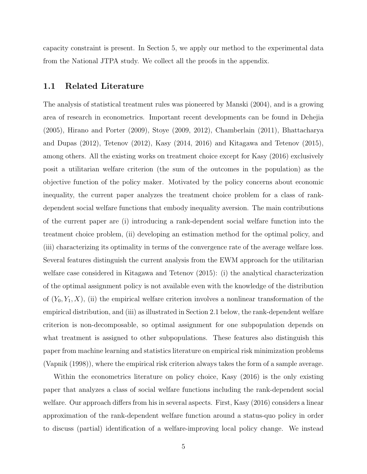capacity constraint is present. In Section 5, we apply our method to the experimental data from the National JTPA study. We collect all the proofs in the appendix.

#### 1.1 Related Literature

The analysis of statistical treatment rules was pioneered by Manski (2004), and is a growing area of research in econometrics. Important recent developments can be found in Dehejia (2005), Hirano and Porter (2009), Stoye (2009, 2012), Chamberlain (2011), Bhattacharya and Dupas (2012), Tetenov (2012), Kasy (2014, 2016) and Kitagawa and Tetenov (2015), among others. All the existing works on treatment choice except for Kasy (2016) exclusively posit a utilitarian welfare criterion (the sum of the outcomes in the population) as the objective function of the policy maker. Motivated by the policy concerns about economic inequality, the current paper analyzes the treatment choice problem for a class of rankdependent social welfare functions that embody inequality aversion. The main contributions of the current paper are (i) introducing a rank-dependent social welfare function into the treatment choice problem, (ii) developing an estimation method for the optimal policy, and (iii) characterizing its optimality in terms of the convergence rate of the average welfare loss. Several features distinguish the current analysis from the EWM approach for the utilitarian welfare case considered in Kitagawa and Tetenov (2015): (i) the analytical characterization of the optimal assignment policy is not available even with the knowledge of the distribution of  $(Y_0, Y_1, X)$ , (ii) the empirical welfare criterion involves a nonlinear transformation of the empirical distribution, and (iii) as illustrated in Section 2.1 below, the rank-dependent welfare criterion is non-decomposable, so optimal assignment for one subpopulation depends on what treatment is assigned to other subpopulations. These features also distinguish this paper from machine learning and statistics literature on empirical risk minimization problems (Vapnik (1998)), where the empirical risk criterion always takes the form of a sample average.

Within the econometrics literature on policy choice, Kasy (2016) is the only existing paper that analyzes a class of social welfare functions including the rank-dependent social welfare. Our approach differs from his in several aspects. First, Kasy (2016) considers a linear approximation of the rank-dependent welfare function around a status-quo policy in order to discuss (partial) identification of a welfare-improving local policy change. We instead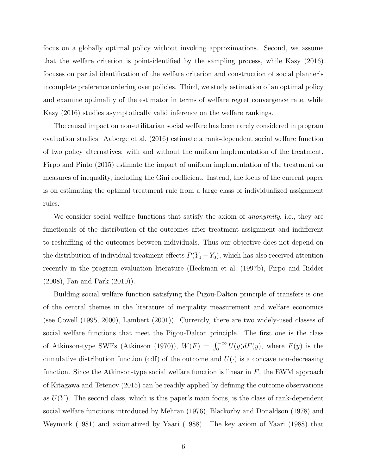focus on a globally optimal policy without invoking approximations. Second, we assume that the welfare criterion is point-identified by the sampling process, while Kasy (2016) focuses on partial identification of the welfare criterion and construction of social planner's incomplete preference ordering over policies. Third, we study estimation of an optimal policy and examine optimality of the estimator in terms of welfare regret convergence rate, while Kasy (2016) studies asymptotically valid inference on the welfare rankings.

The causal impact on non-utilitarian social welfare has been rarely considered in program evaluation studies. Aaberge et al. (2016) estimate a rank-dependent social welfare function of two policy alternatives: with and without the uniform implementation of the treatment. Firpo and Pinto (2015) estimate the impact of uniform implementation of the treatment on measures of inequality, including the Gini coefficient. Instead, the focus of the current paper is on estimating the optimal treatment rule from a large class of individualized assignment rules.

We consider social welfare functions that satisfy the axiom of *anonymity*, i.e., they are functionals of the distribution of the outcomes after treatment assignment and indifferent to reshuffling of the outcomes between individuals. Thus our objective does not depend on the distribution of individual treatment effects  $P(Y_1 - Y_0)$ , which has also received attention recently in the program evaluation literature (Heckman et al. (1997b), Firpo and Ridder (2008), Fan and Park (2010)).

Building social welfare function satisfying the Pigou-Dalton principle of transfers is one of the central themes in the literature of inequality measurement and welfare economics (see Cowell (1995, 2000), Lambert (2001)). Currently, there are two widely-used classes of social welfare functions that meet the Pigou-Dalton principle. The first one is the class of Atkinson-type SWFs (Atkinson (1970)),  $W(F) = \int_0^{-\infty} U(y) dF(y)$ , where  $F(y)$  is the cumulative distribution function (cdf) of the outcome and  $U(\cdot)$  is a concave non-decreasing function. Since the Atkinson-type social welfare function is linear in  $F$ , the EWM approach of Kitagawa and Tetenov (2015) can be readily applied by defining the outcome observations as  $U(Y)$ . The second class, which is this paper's main focus, is the class of rank-dependent social welfare functions introduced by Mehran (1976), Blackorby and Donaldson (1978) and Weymark (1981) and axiomatized by Yaari (1988). The key axiom of Yaari (1988) that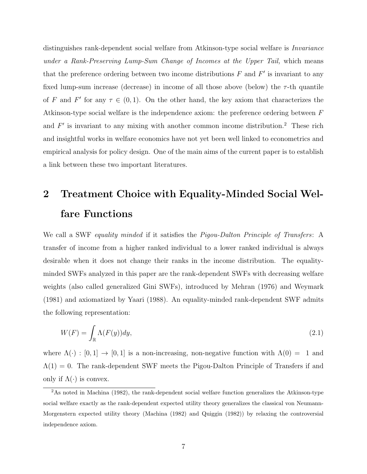distinguishes rank-dependent social welfare from Atkinson-type social welfare is *Invariance* under a Rank-Preserving Lump-Sum Change of Incomes at the Upper Tail, which means that the preference ordering between two income distributions  $F$  and  $F'$  is invariant to any fixed lump-sum increase (decrease) in income of all those above (below) the  $\tau$ -th quantile of F and F' for any  $\tau \in (0,1)$ . On the other hand, the key axiom that characterizes the Atkinson-type social welfare is the independence axiom: the preference ordering between F and  $F'$  is invariant to any mixing with another common income distribution.<sup>2</sup> These rich and insightful works in welfare economics have not yet been well linked to econometrics and empirical analysis for policy design. One of the main aims of the current paper is to establish a link between these two important literatures.

# 2 Treatment Choice with Equality-Minded Social Welfare Functions

We call a SWF equality minded if it satisfies the *Pigou-Dalton Principle of Transfers*: A transfer of income from a higher ranked individual to a lower ranked individual is always desirable when it does not change their ranks in the income distribution. The equalityminded SWFs analyzed in this paper are the rank-dependent SWFs with decreasing welfare weights (also called generalized Gini SWFs), introduced by Mehran (1976) and Weymark (1981) and axiomatized by Yaari (1988). An equality-minded rank-dependent SWF admits the following representation:

$$
W(F) = \int_{\mathbb{R}} \Lambda(F(y)) dy,\tag{2.1}
$$

where  $\Lambda(\cdot) : [0,1] \to [0,1]$  is a non-increasing, non-negative function with  $\Lambda(0) = 1$  and  $\Lambda(1) = 0$ . The rank-dependent SWF meets the Pigou-Dalton Principle of Transfers if and only if  $\Lambda(\cdot)$  is convex.

<sup>&</sup>lt;sup>2</sup>As noted in Machina (1982), the rank-dependent social welfare function generalizes the Atkinson-type social welfare exactly as the rank-dependent expected utility theory generalizes the classical von Neumann-Morgenstern expected utility theory (Machina (1982) and Quiggin (1982)) by relaxing the controversial independence axiom.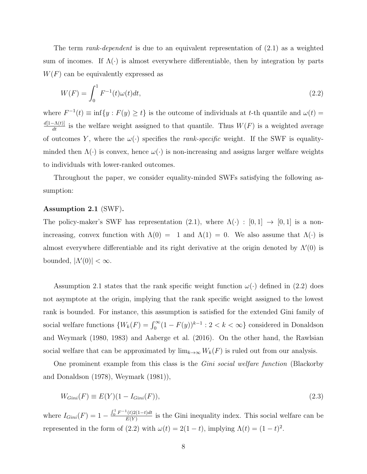The term *rank-dependent* is due to an equivalent representation of  $(2.1)$  as a weighted sum of incomes. If  $\Lambda(\cdot)$  is almost everywhere differentiable, then by integration by parts  $W(F)$  can be equivalently expressed as

$$
W(F) = \int_0^1 F^{-1}(t)\omega(t)dt,
$$
\n(2.2)

where  $F^{-1}(t) \equiv \inf\{y : F(y) \ge t\}$  is the outcome of individuals at t-th quantile and  $\omega(t) =$  $\frac{d[1-\Lambda(t)]}{dt}$  is the welfare weight assigned to that quantile. Thus  $W(F)$  is a weighted average of outcomes Y, where the  $\omega(\cdot)$  specifies the *rank-specific* weight. If the SWF is equalityminded then  $\Lambda(\cdot)$  is convex, hence  $\omega(\cdot)$  is non-increasing and assigns larger welfare weights to individuals with lower-ranked outcomes.

Throughout the paper, we consider equality-minded SWFs satisfying the following assumption:

#### Assumption 2.1 (SWF).

The policy-maker's SWF has representation (2.1), where  $\Lambda(\cdot)$  : [0, 1]  $\rightarrow$  [0, 1] is a nonincreasing, convex function with  $\Lambda(0) = 1$  and  $\Lambda(1) = 0$ . We also assume that  $\Lambda(\cdot)$  is almost everywhere differentiable and its right derivative at the origin denoted by  $\Lambda'(0)$  is bounded,  $|\Lambda'(0)| < \infty$ .

Assumption 2.1 states that the rank specific weight function  $\omega(\cdot)$  defined in (2.2) does not asymptote at the origin, implying that the rank specific weight assigned to the lowest rank is bounded. For instance, this assumption is satisfied for the extended Gini family of social welfare functions  $\{W_k(F) = \int_0^\infty (1 - F(y))^{k-1} : 2 < k < \infty\}$  considered in Donaldson and Weymark (1980, 1983) and Aaberge et al. (2016). On the other hand, the Rawlsian social welfare that can be approximated by  $\lim_{k\to\infty} W_k(F)$  is ruled out from our analysis.

One prominent example from this class is the *Gini social welfare function* (Blackorby and Donaldson (1978), Weymark (1981)),

$$
W_{Gini}(F) \equiv E(Y)(1 - I_{Gini}(F)),\tag{2.3}
$$

where  $I_{Gini}(F) = 1 - \frac{\int_0^1 F^{-1}(t)2(1-t)dt}{F(Y)}$  $\frac{U(2(1-t)at)}{E(Y)}$  is the Gini inequality index. This social welfare can be represented in the form of (2.2) with  $\omega(t) = 2(1-t)$ , implying  $\Lambda(t) = (1-t)^2$ .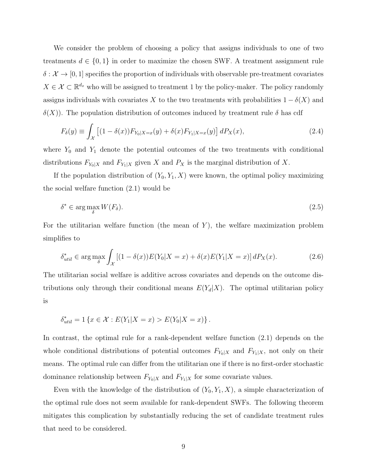We consider the problem of choosing a policy that assigns individuals to one of two treatments  $d \in \{0,1\}$  in order to maximize the chosen SWF. A treatment assignment rule  $\delta: \mathcal{X} \to [0, 1]$  specifies the proportion of individuals with observable pre-treatment covariates  $X \in \mathcal{X} \subset \mathbb{R}^{d_x}$  who will be assigned to treatment 1 by the policy-maker. The policy randomly assigns individuals with covariates X to the two treatments with probabilities  $1 - \delta(X)$  and  $\delta(X)$ ). The population distribution of outcomes induced by treatment rule  $\delta$  has cdf

$$
F_{\delta}(y) \equiv \int_{\mathcal{X}} \left[ (1 - \delta(x)) F_{Y_0|X=x}(y) + \delta(x) F_{Y_1|X=x}(y) \right] dP_X(x), \tag{2.4}
$$

where  $Y_0$  and  $Y_1$  denote the potential outcomes of the two treatments with conditional distributions  $F_{Y_0|X}$  and  $F_{Y_1|X}$  given X and  $P_X$  is the marginal distribution of X.

If the population distribution of  $(Y_0, Y_1, X)$  were known, the optimal policy maximizing the social welfare function (2.1) would be

$$
\delta^* \in \arg\max_{\delta} W(F_{\delta}).\tag{2.5}
$$

For the utilitarian welfare function (the mean of  $Y$ ), the welfare maximization problem simplifies to

$$
\delta_{util}^* \in \arg\max_{\delta} \int_{\mathcal{X}} \left[ (1 - \delta(x)) E(Y_0 | X = x) + \delta(x) E(Y_1 | X = x) \right] dP_X(x). \tag{2.6}
$$

The utilitarian social welfare is additive across covariates and depends on the outcome distributions only through their conditional means  $E(Y_d|X)$ . The optimal utilitarian policy is

$$
\delta_{util}^* = 1 \{ x \in \mathcal{X} : E(Y_1 | X = x) > E(Y_0 | X = x) \}.
$$

In contrast, the optimal rule for a rank-dependent welfare function (2.1) depends on the whole conditional distributions of potential outcomes  $F_{Y_0|X}$  and  $F_{Y_1|X}$ , not only on their means. The optimal rule can differ from the utilitarian one if there is no first-order stochastic dominance relationship between  $F_{Y_0|X}$  and  $F_{Y_1|X}$  for some covariate values.

Even with the knowledge of the distribution of  $(Y_0, Y_1, X)$ , a simple characterization of the optimal rule does not seem available for rank-dependent SWFs. The following theorem mitigates this complication by substantially reducing the set of candidate treatment rules that need to be considered.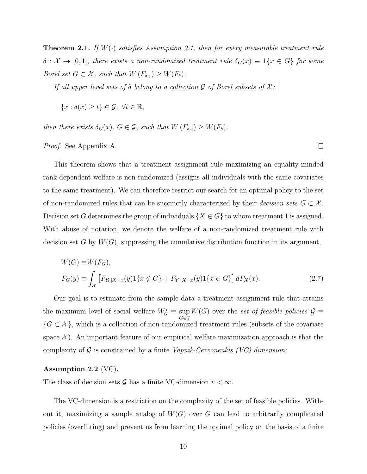**Theorem 2.1.** If  $W(\cdot)$  satisfies Assumption 2.1, then for every measurable treatment rule  $\delta: \mathcal{X} \to [0,1],$  there exists a non-randomized treatment rule  $\delta_G(x) \equiv 1\{x \in G\}$  for some Borel set  $G \subset \mathcal{X}$ , such that  $W(F_{\delta_G}) \geq W(F_{\delta}).$ 

If all upper level sets of  $\delta$  belong to a collection  $\mathcal G$  of Borel subsets of  $\mathcal X$ :

 ${x : \delta(x) \geq t} \in \mathcal{G}, \forall t \in \mathbb{R},$ 

then there exists  $\delta_G(x)$ ,  $G \in \mathcal{G}$ , such that  $W(F_{\delta_G}) \geq W(F_{\delta})$ .

Proof. See Appendix A.

This theorem shows that a treatment assignment rule maximizing an equality-minded rank-dependent welfare is non-randomized (assigns all individuals with the same covariates to the same treatment). We can therefore restrict our search for an optimal policy to the set of non-randomized rules that can be succinctly characterized by their *decision sets*  $G \subset \mathcal{X}$ . Decision set G determines the group of individuals  $\{X \in G\}$  to whom treatment 1 is assigned. With abuse of notation, we denote the welfare of a non-randomized treatment rule with decision set G by  $W(G)$ , suppressing the cumulative distribution function in its argument,

 $\Box$ 

$$
W(G) \equiv W(F_G),
$$
  
\n
$$
F_G(y) \equiv \int_{\mathcal{X}} \left[ F_{Y_0|X=x}(y) 1\{x \notin G\} + F_{Y_1|X=x}(y) 1\{x \in G\} \right] dP_X(x).
$$
\n(2.7)

Our goal is to estimate from the sample data a treatment assignment rule that attains the maximum level of social welfare  $W^*_{\mathcal{G}} \equiv \sup_{G \in \mathcal{G}}$  $W(G)$  over the set of feasible policies  $\mathcal{G} \equiv$  $\{G \subset \mathcal{X}\}\$ , which is a collection of non-randomized treatment rules (subsets of the covariate space  $\mathcal{X}$ ). An important feature of our empirical welfare maximization approach is that the complexity of  $G$  is constrained by a finite *Vapnik-Cervonenkis (VC) dimension*:

#### Assumption 2.2 (VC).

The class of decision sets G has a finite VC-dimension  $v < \infty$ .

The VC-dimension is a restriction on the complexity of the set of feasible policies. Without it, maximizing a sample analog of  $W(G)$  over G can lead to arbitrarily complicated policies (overfitting) and prevent us from learning the optimal policy on the basis of a finite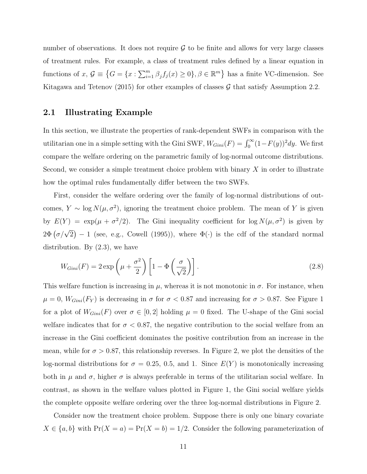number of observations. It does not require  $\mathcal G$  to be finite and allows for very large classes of treatment rules. For example, a class of treatment rules defined by a linear equation in functions of  $x, \mathcal{G} \equiv \left\{ G = \{x : \sum_{i=1}^{m} \beta_j f_j(x) \ge 0 \}, \beta \in \mathbb{R}^m \right\}$  has a finite VC-dimension. See Kitagawa and Tetenov (2015) for other examples of classes  $\mathcal G$  that satisfy Assumption 2.2.

#### 2.1 Illustrating Example

In this section, we illustrate the properties of rank-dependent SWFs in comparison with the utilitarian one in a simple setting with the Gini SWF,  $W_{Gini}(F) = \int_0^\infty (1 - F(y))^2 dy$ . We first compare the welfare ordering on the parametric family of log-normal outcome distributions. Second, we consider a simple treatment choice problem with binary  $X$  in order to illustrate how the optimal rules fundamentally differ between the two SWFs.

First, consider the welfare ordering over the family of log-normal distributions of outcomes,  $Y \sim \log N(\mu, \sigma^2)$ , ignoring the treatment choice problem. The mean of Y is given by  $E(Y) = \exp(\mu + \sigma^2/2)$ . The Gini inequality coefficient for  $\log N(\mu, \sigma^2)$  is given by  $2\Phi\left(\frac{\sigma}{\sqrt{2}}\right) - 1$  (see, e.g., Cowell (1995)), where  $\Phi(\cdot)$  is the cdf of the standard normal distribution. By (2.3), we have

$$
W_{Gini}(F) = 2 \exp\left(\mu + \frac{\sigma^2}{2}\right) \left[1 - \Phi\left(\frac{\sigma}{\sqrt{2}}\right)\right].
$$
 (2.8)

This welfare function is increasing in  $\mu$ , whereas it is not monotonic in  $\sigma$ . For instance, when  $\mu = 0$ ,  $W_{Gini}(F_Y)$  is decreasing in  $\sigma$  for  $\sigma < 0.87$  and increasing for  $\sigma > 0.87$ . See Figure 1 for a plot of  $W_{Gini}(F)$  over  $\sigma \in [0,2]$  holding  $\mu = 0$  fixed. The U-shape of the Gini social welfare indicates that for  $\sigma < 0.87$ , the negative contribution to the social welfare from an increase in the Gini coefficient dominates the positive contribution from an increase in the mean, while for  $\sigma > 0.87$ , this relationship reverses. In Figure 2, we plot the densities of the log-normal distributions for  $\sigma = 0.25, 0.5,$  and 1. Since  $E(Y)$  is monotonically increasing both in  $\mu$  and  $\sigma$ , higher  $\sigma$  is always preferable in terms of the utilitarian social welfare. In contrast, as shown in the welfare values plotted in Figure 1, the Gini social welfare yields the complete opposite welfare ordering over the three log-normal distributions in Figure 2.

Consider now the treatment choice problem. Suppose there is only one binary covariate  $X \in \{a, b\}$  with  $Pr(X = a) = Pr(X = b) = 1/2$ . Consider the following parameterization of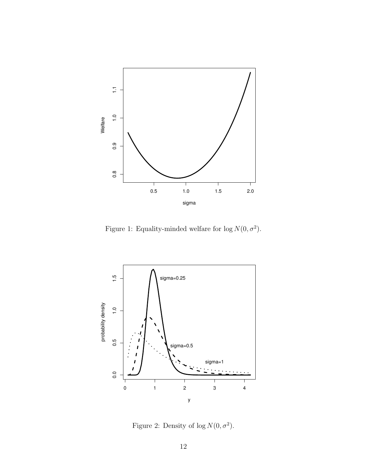

Figure 1: Equality-minded welfare for  $\log N(0, \sigma^2)$ .



Figure 2: Density of  $\log N(0, \sigma^2)$ .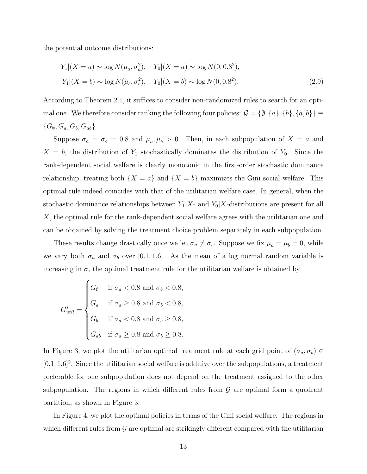the potential outcome distributions:

$$
Y_1|(X = a) \sim \log N(\mu_a, \sigma_a^2), \quad Y_0|(X = a) \sim \log N(0, 0.8^2),
$$
  

$$
Y_1|(X = b) \sim \log N(\mu_b, \sigma_b^2), \quad Y_0|(X = b) \sim \log N(0, 0.8^2).
$$
 (2.9)

According to Theorem 2.1, it suffices to consider non-randomized rules to search for an optimal one. We therefore consider ranking the following four policies:  $\mathcal{G} = \{\emptyset, \{a\}, \{b\}, \{a, b\}\} \equiv$  $\{G_{\emptyset}, G_a, G_b, G_{ab}\}.$ 

Suppose  $\sigma_a = \sigma_b = 0.8$  and  $\mu_a, \mu_b > 0$ . Then, in each subpopulation of  $X = a$  and  $X = b$ , the distribution of  $Y_1$  stochastically dominates the distribution of  $Y_0$ . Since the rank-dependent social welfare is clearly monotonic in the first-order stochastic dominance relationship, treating both  $\{X = a\}$  and  $\{X = b\}$  maximizes the Gini social welfare. This optimal rule indeed coincides with that of the utilitarian welfare case. In general, when the stochastic dominance relationships between  $Y_1|X$ - and  $Y_0|X$ -distributions are present for all X, the optimal rule for the rank-dependent social welfare agrees with the utilitarian one and can be obtained by solving the treatment choice problem separately in each subpopulation.

These results change drastically once we let  $\sigma_a \neq \sigma_b$ . Suppose we fix  $\mu_a = \mu_b = 0$ , while we vary both  $\sigma_a$  and  $\sigma_b$  over [0.1, 1.6]. As the mean of a log normal random variable is increasing in  $\sigma$ , the optimal treatment rule for the utilitarian welfare is obtained by

$$
G_{util}^* = \begin{cases} G_{\emptyset} & \text{if } \sigma_a < 0.8 \text{ and } \sigma_b < 0.8, \\ G_a & \text{if } \sigma_a \ge 0.8 \text{ and } \sigma_b < 0.8, \\ G_b & \text{if } \sigma_a < 0.8 \text{ and } \sigma_b \ge 0.8, \\ G_{ab} & \text{if } \sigma_a \ge 0.8 \text{ and } \sigma_b \ge 0.8. \end{cases}
$$

In Figure 3, we plot the utilitarian optimal treatment rule at each grid point of  $(\sigma_a, \sigma_b) \in$  $[0.1, 1.6]^2$ . Since the utilitarian social welfare is additive over the subpopulations, a treatment preferable for one subpopulation does not depend on the treatment assigned to the other subpopulation. The regions in which different rules from  $G$  are optimal form a quadrant partition, as shown in Figure 3.

In Figure 4, we plot the optimal policies in terms of the Gini social welfare. The regions in which different rules from  $\mathcal G$  are optimal are strikingly different compared with the utilitarian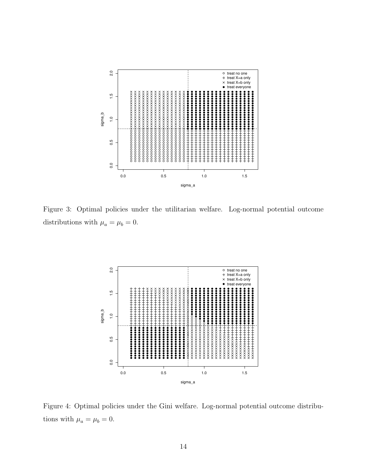

Figure 3: Optimal policies under the utilitarian welfare. Log-normal potential outcome distributions with  $\mu_a=\mu_b=0.$ 



Figure 4: Optimal policies under the Gini welfare. Log-normal potential outcome distributions with  $\mu_a = \mu_b = 0$ .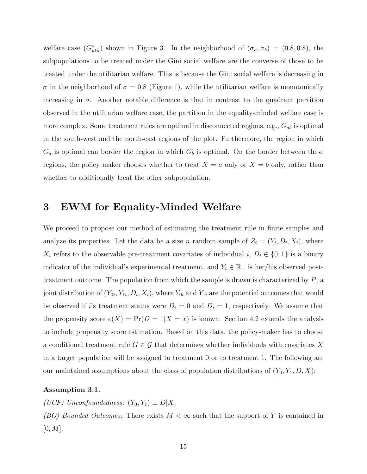welfare case  $(G<sub>util</sub><sup>*</sup>)$  shown in Figure 3. In the neighborhood of  $(\sigma_a, \sigma_b) = (0.8, 0.8)$ , the subpopulations to be treated under the Gini social welfare are the converse of those to be treated under the utilitarian welfare. This is because the Gini social welfare is decreasing in  $\sigma$  in the neighborhood of  $\sigma = 0.8$  (Figure 1), while the utilitarian welfare is monotonically increasing in  $\sigma$ . Another notable difference is that in contrast to the quadrant partition observed in the utilitarian welfare case, the partition in the equality-minded welfare case is more complex. Some treatment rules are optimal in disconnected regions, e.g.,  $G_{ab}$  is optimal in the south-west and the north-east regions of the plot. Furthermore, the region in which  $G_a$  is optimal can border the region in which  $G_b$  is optimal. On the border between these regions, the policy maker chooses whether to treat  $X = a$  only or  $X = b$  only, rather than whether to additionally treat the other subpopulation.

### 3 EWM for Equality-Minded Welfare

We proceed to propose our method of estimating the treatment rule in finite samples and analyze its properties. Let the data be a size n random sample of  $Z_i = (Y_i, D_i, X_i)$ , where  $X_i$  refers to the observable pre-treatment covariates of individual i,  $D_i \in \{0,1\}$  is a binary indicator of the individual's experimental treatment, and  $Y_i \in \mathbb{R}_+$  is her/his observed posttreatment outcome. The population from which the sample is drawn is characterized by  $P$ , a joint distribution of  $(Y_{0i}, Y_{1i}, D_i, X_i)$ , where  $Y_{0i}$  and  $Y_{1i}$  are the potential outcomes that would be observed if i's treatment status were  $D_i = 0$  and  $D_i = 1$ , respectively. We assume that the propensity score  $e(X) = Pr(D = 1 | X = x)$  is known. Section 4.2 extends the analysis to include propensity score estimation. Based on this data, the policy-maker has to choose a conditional treatment rule  $G \in \mathcal{G}$  that determines whether individuals with covariates X in a target population will be assigned to treatment 0 or to treatment 1. The following are our maintained assumptions about the class of population distributions of  $(Y_0, Y_1, D, X)$ :

#### Assumption 3.1.

(UCF) Unconfoundedness:  $(Y_0, Y_1) \perp D|X$ .

(BO) Bounded Outcomes: There exists  $M < \infty$  such that the support of Y is contained in  $[0, M].$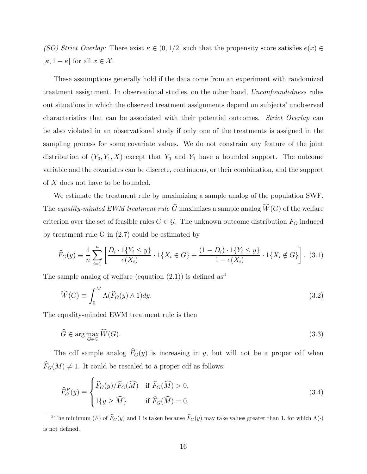(SO) Strict Overlap: There exist  $\kappa \in (0,1/2]$  such that the propensity score satisfies  $e(x) \in$  $[\kappa, 1 - \kappa]$  for all  $x \in \mathcal{X}$ .

These assumptions generally hold if the data come from an experiment with randomized treatment assignment. In observational studies, on the other hand, Unconfoundedness rules out situations in which the observed treatment assignments depend on subjects' unobserved characteristics that can be associated with their potential outcomes. Strict Overlap can be also violated in an observational study if only one of the treatments is assigned in the sampling process for some covariate values. We do not constrain any feature of the joint distribution of  $(Y_0, Y_1, X)$  except that  $Y_0$  and  $Y_1$  have a bounded support. The outcome variable and the covariates can be discrete, continuous, or their combination, and the support of X does not have to be bounded.

We estimate the treatment rule by maximizing a sample analog of the population SWF. The equality-minded EWM treatment rule  $\widehat{G}$  maximizes a sample analog  $\widehat{W}(G)$  of the welfare criterion over the set of feasible rules  $G \in \mathcal{G}$ . The unknown outcome distribution  $F_G$  induced by treatment rule G in (2.7) could be estimated by

$$
\widehat{F}_G(y) \equiv \frac{1}{n} \sum_{i=1}^n \left[ \frac{D_i \cdot 1\{Y_i \le y\}}{e(X_i)} \cdot 1\{X_i \in G\} + \frac{(1 - D_i) \cdot 1\{Y_i \le y\}}{1 - e(X_i)} \cdot 1\{X_i \notin G\} \right].
$$
 (3.1)

The sample analog of welfare (equation  $(2.1)$ ) is defined as<sup>3</sup>

$$
\widehat{W}(G) \equiv \int_0^M \Lambda(\widehat{F}_G(y) \wedge 1) dy. \tag{3.2}
$$

The equality-minded EWM treatment rule is then

$$
\widehat{G} \in \arg\max_{G \in \mathcal{G}} \widehat{W}(G). \tag{3.3}
$$

The cdf sample analog  $\widehat{F}_G(y)$  is increasing in y, but will not be a proper cdf when  $\widehat{F}_G(M) \neq 1$ . It could be rescaled to a proper cdf as follows:

$$
\widehat{F}_G^R(y) \equiv \begin{cases}\n\widehat{F}_G(y)/\widehat{F}_G(\widehat{M}) & \text{if } \widehat{F}_G(\widehat{M}) > 0, \\
1\{y \ge \widehat{M}\} & \text{if } \widehat{F}_G(\widehat{M}) = 0,\n\end{cases}
$$
\n(3.4)

<sup>3</sup>The minimum ( $\wedge$ ) of  $\hat{F}_G(y)$  and 1 is taken because  $\hat{F}_G(y)$  may take values greater than 1, for which  $\Lambda(\cdot)$ is not defined.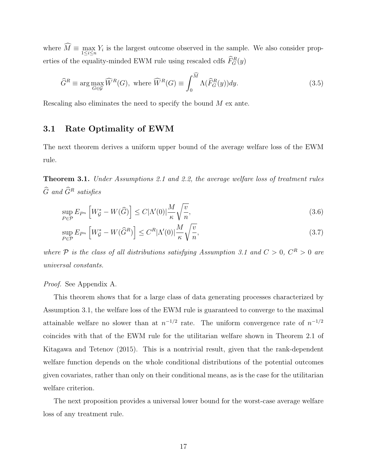where  $M \equiv \max_{1 \leq i \leq n} Y_i$  is the largest outcome observed in the sample. We also consider properties of the equality-minded EWM rule using rescaled cdfs  $\widehat{F}_{G}^{R}(y)$ 

$$
\widehat{G}^R \equiv \arg \max_{G \in \mathcal{G}} \widehat{W}^R(G), \text{ where } \widehat{W}^R(G) \equiv \int_0^{\widehat{M}} \Lambda(\widehat{F}_G^R(y)) dy. \tag{3.5}
$$

Rescaling also eliminates the need to specify the bound M ex ante.

### 3.1 Rate Optimality of EWM

The next theorem derives a uniform upper bound of the average welfare loss of the EWM rule.

Theorem 3.1. Under Assumptions 2.1 and 2.2, the average welfare loss of treatment rules  $\widehat{G}$  and  $\widehat{G}^R$  satisfies

$$
\sup_{P \in \mathcal{P}} E_{P^n} \left[ W_{\mathcal{G}}^* - W(\widehat{G}) \right] \le C |\Lambda'(0)| \frac{M}{\kappa} \sqrt{\frac{v}{n}},\tag{3.6}
$$

$$
\sup_{P \in \mathcal{P}} E_{P^n} \left[ W_{\mathcal{G}}^* - W(\widehat{G}^R) \right] \le C^R |\Lambda'(0)| \frac{M}{\kappa} \sqrt{\frac{v}{n}},\tag{3.7}
$$

where P is the class of all distributions satisfying Assumption 3.1 and  $C > 0$ ,  $C^{R} > 0$  are universal constants.

#### Proof. See Appendix A.

This theorem shows that for a large class of data generating processes characterized by Assumption 3.1, the welfare loss of the EWM rule is guaranteed to converge to the maximal attainable welfare no slower than at  $n^{-1/2}$  rate. The uniform convergence rate of  $n^{-1/2}$ coincides with that of the EWM rule for the utilitarian welfare shown in Theorem 2.1 of Kitagawa and Tetenov (2015). This is a nontrivial result, given that the rank-dependent welfare function depends on the whole conditional distributions of the potential outcomes given covariates, rather than only on their conditional means, as is the case for the utilitarian welfare criterion.

The next proposition provides a universal lower bound for the worst-case average welfare loss of any treatment rule.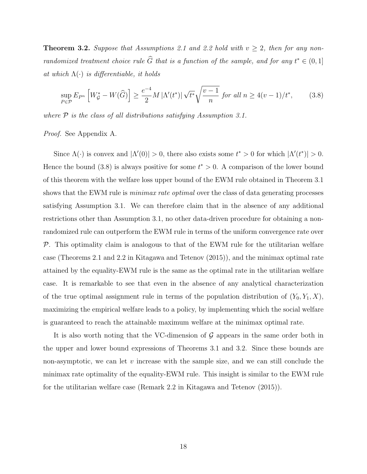**Theorem 3.2.** Suppose that Assumptions 2.1 and 2.2 hold with  $v \ge 2$ , then for any nonrandomized treatment choice rule  $\widehat{G}$  that is a function of the sample, and for any  $t^* \in (0,1]$ at which  $\Lambda(\cdot)$  is differentiable, it holds

$$
\sup_{P \in \mathcal{P}} E_{P^n} \left[ W_{\mathcal{G}}^* - W(\widehat{G}) \right] \ge \frac{e^{-4}}{2} M \left| \Lambda'(t^*) \right| \sqrt{t^*} \sqrt{\frac{v-1}{n}} \text{ for all } n \ge 4(v-1)/t^*,\tag{3.8}
$$

where  $P$  is the class of all distributions satisfying Assumption 3.1.

Proof. See Appendix A.

Since  $\Lambda(\cdot)$  is convex and  $|\Lambda'(0)| > 0$ , there also exists some  $t^* > 0$  for which  $|\Lambda'(t^*)| > 0$ . Hence the bound (3.8) is always positive for some  $t^* > 0$ . A comparison of the lower bound of this theorem with the welfare loss upper bound of the EWM rule obtained in Theorem 3.1 shows that the EWM rule is *minimax rate optimal* over the class of data generating processes satisfying Assumption 3.1. We can therefore claim that in the absence of any additional restrictions other than Assumption 3.1, no other data-driven procedure for obtaining a nonrandomized rule can outperform the EWM rule in terms of the uniform convergence rate over  $P$ . This optimality claim is analogous to that of the EWM rule for the utilitarian welfare case (Theorems 2.1 and 2.2 in Kitagawa and Tetenov (2015)), and the minimax optimal rate attained by the equality-EWM rule is the same as the optimal rate in the utilitarian welfare case. It is remarkable to see that even in the absence of any analytical characterization of the true optimal assignment rule in terms of the population distribution of  $(Y_0, Y_1, X)$ , maximizing the empirical welfare leads to a policy, by implementing which the social welfare is guaranteed to reach the attainable maximum welfare at the minimax optimal rate.

It is also worth noting that the VC-dimension of  $G$  appears in the same order both in the upper and lower bound expressions of Theorems 3.1 and 3.2. Since these bounds are non-asymptotic, we can let  $v$  increase with the sample size, and we can still conclude the minimax rate optimality of the equality-EWM rule. This insight is similar to the EWM rule for the utilitarian welfare case (Remark 2.2 in Kitagawa and Tetenov (2015)).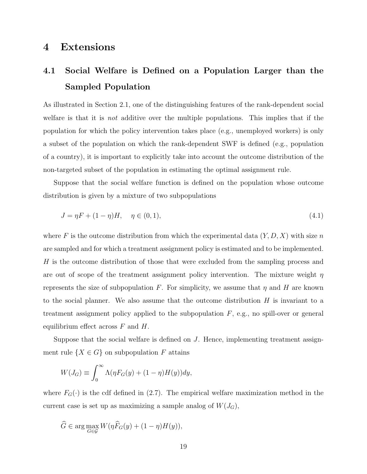## 4 Extensions

# 4.1 Social Welfare is Defined on a Population Larger than the Sampled Population

As illustrated in Section 2.1, one of the distinguishing features of the rank-dependent social welfare is that it is not additive over the multiple populations. This implies that if the population for which the policy intervention takes place (e.g., unemployed workers) is only a subset of the population on which the rank-dependent SWF is defined (e.g., population of a country), it is important to explicitly take into account the outcome distribution of the non-targeted subset of the population in estimating the optimal assignment rule.

Suppose that the social welfare function is defined on the population whose outcome distribution is given by a mixture of two subpopulations

$$
J = \eta F + (1 - \eta)H, \quad \eta \in (0, 1), \tag{4.1}
$$

where F is the outcome distribution from which the experimental data  $(Y, D, X)$  with size n are sampled and for which a treatment assignment policy is estimated and to be implemented. H is the outcome distribution of those that were excluded from the sampling process and are out of scope of the treatment assignment policy intervention. The mixture weight  $\eta$ represents the size of subpopulation F. For simplicity, we assume that  $\eta$  and H are known to the social planner. We also assume that the outcome distribution  $H$  is invariant to a treatment assignment policy applied to the subpopulation  $F$ , e.g., no spill-over or general equilibrium effect across  $F$  and  $H$ .

Suppose that the social welfare is defined on  $J$ . Hence, implementing treatment assignment rule  $\{X \in G\}$  on subpopulation F attains

$$
W(J_G) \equiv \int_0^\infty \Lambda(\eta F_G(y) + (1 - \eta)H(y))dy,
$$

where  $F_G(\cdot)$  is the cdf defined in (2.7). The empirical welfare maximization method in the current case is set up as maximizing a sample analog of  $W(J_G)$ ,

$$
\widehat{G} \in \arg\max_{G \in \mathcal{G}} W(\eta \widehat{F}_G(y) + (1 - \eta)H(y)),
$$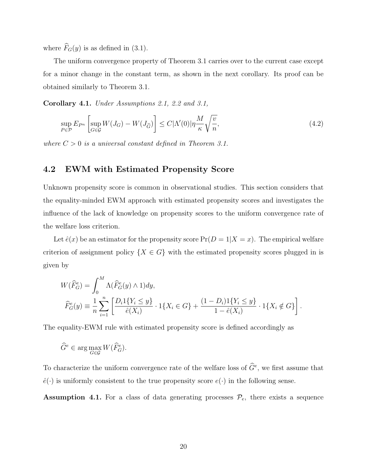where  $\widehat{F}_G(y)$  is as defined in (3.1).

The uniform convergence property of Theorem 3.1 carries over to the current case except for a minor change in the constant term, as shown in the next corollary. Its proof can be obtained similarly to Theorem 3.1.

Corollary 4.1. Under Assumptions 2.1, 2.2 and 3.1,

$$
\sup_{P \in \mathcal{P}} E_{P^n} \left[ \sup_{G \in \mathcal{G}} W(J_G) - W(J_{\widehat{G}}) \right] \le C |\Lambda'(0)| \eta \frac{M}{\kappa} \sqrt{\frac{v}{n}},\tag{4.2}
$$

where  $C > 0$  is a universal constant defined in Theorem 3.1.

#### 4.2 EWM with Estimated Propensity Score

Unknown propensity score is common in observational studies. This section considers that the equality-minded EWM approach with estimated propensity scores and investigates the influence of the lack of knowledge on propensity scores to the uniform convergence rate of the welfare loss criterion.

Let  $\hat{e}(x)$  be an estimator for the propensity score  $Pr(D = 1|X = x)$ . The empirical welfare criterion of assignment policy  $\{X \in G\}$  with the estimated propensity scores plugged in is given by

$$
W(\widehat{F}_G^e) = \int_0^M \Lambda(\widehat{F}_G^e(y) \wedge 1) dy,
$$
  

$$
\widehat{F}_G^e(y) = \frac{1}{n} \sum_{i=1}^n \left[ \frac{D_i 1\{Y_i \le y\}}{\widehat{e}(X_i)} \cdot 1\{X_i \in G\} + \frac{(1 - D_i) 1\{Y_i \le y\}}{1 - \widehat{e}(X_i)} \cdot 1\{X_i \notin G\} \right].
$$

The equality-EWM rule with estimated propensity score is defined accordingly as

$$
\widehat{G}^e \in \arg\max_{G \in \mathcal{G}} W(\widehat{F}^e_G).
$$

To characterize the uniform convergence rate of the welfare loss of  $\widehat{G}^e$ , we first assume that  $\hat{e}(\cdot)$  is uniformly consistent to the true propensity score  $e(\cdot)$  in the following sense.

Assumption 4.1. For a class of data generating processes  $\mathcal{P}_e$ , there exists a sequence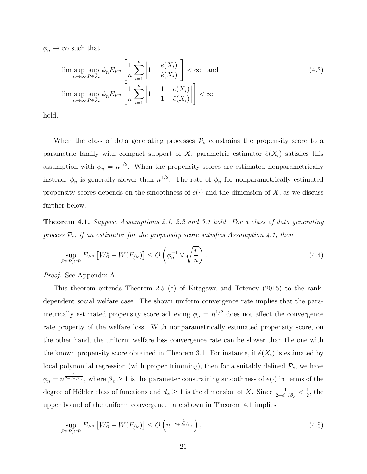$\phi_n \to \infty$  such that

$$
\limsup_{n \to \infty} \sup_{P \in \mathcal{P}_e} \phi_n E_{P^n} \left[ \frac{1}{n} \sum_{i=1}^n \left| 1 - \frac{e(X_i)}{\hat{e}(X_i)} \right| \right] < \infty \quad \text{and}
$$
\n
$$
\limsup_{n \to \infty} \sup_{P \in \mathcal{P}_e} \phi_n E_{P^n} \left[ \frac{1}{n} \sum_{i=1}^n \left| 1 - \frac{1 - e(X_i)}{1 - \hat{e}(X_i)} \right| \right] < \infty
$$
\n(4.3)

hold.

When the class of data generating processes  $\mathcal{P}_e$  constrains the propensity score to a parametric family with compact support of X, parametric estimator  $\hat{e}(X_i)$  satisfies this assumption with  $\phi_n = n^{1/2}$ . When the propensity scores are estimated nonparametrically instead,  $\phi_n$  is generally slower than  $n^{1/2}$ . The rate of  $\phi_n$  for nonparametrically estimated propensity scores depends on the smoothness of  $e(\cdot)$  and the dimension of X, as we discuss further below.

**Theorem 4.1.** Suppose Assumptions 2.1, 2.2 and 3.1 hold. For a class of data generating process  $P_e$ , if an estimator for the propensity score satisfies Assumption 4.1, then

$$
\sup_{P \in \mathcal{P}_e \cap \mathcal{P}} E_{P^n} \left[ W_{\mathcal{G}}^* - W(F_{\widehat{G}^e}) \right] \le O\left(\phi_n^{-1} \vee \sqrt{\frac{v}{n}}\right). \tag{4.4}
$$

Proof. See Appendix A.

This theorem extends Theorem 2.5 (e) of Kitagawa and Tetenov (2015) to the rankdependent social welfare case. The shown uniform convergence rate implies that the parametrically estimated propensity score achieving  $\phi_n = n^{1/2}$  does not affect the convergence rate property of the welfare loss. With nonparametrically estimated propensity score, on the other hand, the uniform welfare loss convergence rate can be slower than the one with the known propensity score obtained in Theorem 3.1. For instance, if  $\hat{e}(X_i)$  is estimated by local polynomial regression (with proper trimming), then for a suitably defined  $\mathcal{P}_e$ , we have  $\phi_n = n^{\frac{1}{2+d_x/\beta_e}}$ , where  $\beta_e \ge 1$  is the parameter constraining smoothness of  $e(\cdot)$  in terms of the degree of Hölder class of functions and  $d_x \ge 1$  is the dimension of X. Since  $\frac{1}{2+d_x/\beta_e} < \frac{1}{2}$  $\frac{1}{2}$ , the upper bound of the uniform convergence rate shown in Theorem 4.1 implies

$$
\sup_{P \in \mathcal{P}_e \cap \mathcal{P}} E_{P^n} \left[ W_{\mathcal{G}}^* - W(F_{\widehat{G}^e}) \right] \le O\left( n^{-\frac{1}{2 + d_x/\beta_e}} \right),\tag{4.5}
$$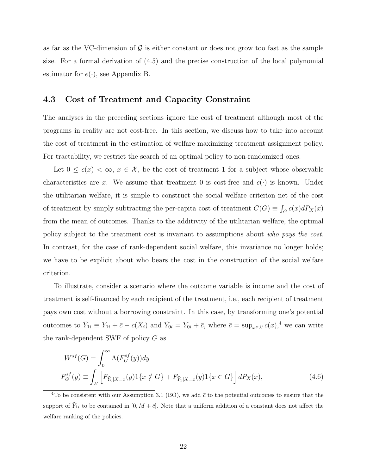as far as the VC-dimension of  $\mathcal G$  is either constant or does not grow too fast as the sample size. For a formal derivation of (4.5) and the precise construction of the local polynomial estimator for  $e(\cdot)$ , see Appendix B.

#### 4.3 Cost of Treatment and Capacity Constraint

The analyses in the preceding sections ignore the cost of treatment although most of the programs in reality are not cost-free. In this section, we discuss how to take into account the cost of treatment in the estimation of welfare maximizing treatment assignment policy. For tractability, we restrict the search of an optimal policy to non-randomized ones.

Let  $0 \leq c(x) < \infty$ ,  $x \in \mathcal{X}$ , be the cost of treatment 1 for a subject whose observable characteristics are x. We assume that treatment 0 is cost-free and  $c(\cdot)$  is known. Under the utilitarian welfare, it is simple to construct the social welfare criterion net of the cost of treatment by simply subtracting the per-capita cost of treatment  $C(G) \equiv \int_G c(x) dP_X(x)$ from the mean of outcomes. Thanks to the additivity of the utilitarian welfare, the optimal policy subject to the treatment cost is invariant to assumptions about who pays the cost. In contrast, for the case of rank-dependent social welfare, this invariance no longer holds; we have to be explicit about who bears the cost in the construction of the social welfare criterion.

To illustrate, consider a scenario where the outcome variable is income and the cost of treatment is self-financed by each recipient of the treatment, i.e., each recipient of treatment pays own cost without a borrowing constraint. In this case, by transforming one's potential outcomes to  $\tilde{Y}_{1i} \equiv Y_{1i} + \bar{c} - c(X_i)$  and  $\tilde{Y}_{0i} = Y_{0i} + \bar{c}$ , where  $\bar{c} = \sup_{x \in \mathcal{X}} c(x)$ ,<sup>4</sup> we can write the rank-dependent SWF of policy G as

$$
W^{sf}(G) = \int_0^\infty \Lambda(F_G^{sf}(y)) dy
$$
  
\n
$$
F_G^{sf}(y) \equiv \int_{\mathcal{X}} \left[ F_{\tilde{Y}_0|X=x}(y) 1\{x \notin G\} + F_{\tilde{Y}_1|X=x}(y) 1\{x \in G\} \right] dP_X(x),
$$
\n(4.6)

<sup>&</sup>lt;sup>4</sup>To be consistent with our Assumption 3.1 (BO), we add  $\bar{c}$  to the potential outcomes to ensure that the support of  $\tilde{Y}_{1i}$  to be contained in  $[0, M + \bar{c}]$ . Note that a uniform addition of a constant does not affect the welfare ranking of the policies.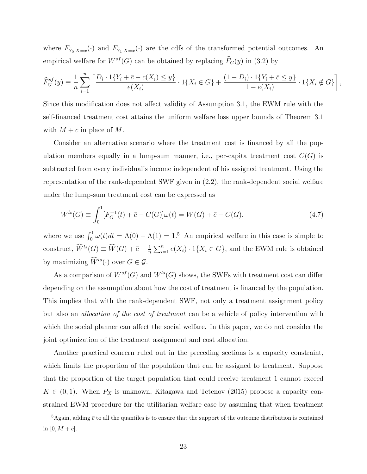where  $F_{\tilde{Y}_0|X=x}(\cdot)$  and  $F_{\tilde{Y}_1|X=x}(\cdot)$  are the cdfs of the transformed potential outcomes. An empirical welfare for  $W^{sf}(G)$  can be obtained by replacing  $\widehat{F}_G(y)$  in (3.2) by

$$
\widehat{F}_G^{sf}(y) \equiv \frac{1}{n} \sum_{i=1}^n \left[ \frac{D_i \cdot 1\{Y_i + \bar{c} - c(X_i) \le y\}}{e(X_i)} \cdot 1\{X_i \in G\} + \frac{(1 - D_i) \cdot 1\{Y_i + \bar{c} \le y\}}{1 - e(X_i)} \cdot 1\{X_i \notin G\} \right],
$$

Since this modification does not affect validity of Assumption 3.1, the EWM rule with the self-financed treatment cost attains the uniform welfare loss upper bounds of Theorem 3.1 with  $M + \bar{c}$  in place of M.

Consider an alternative scenario where the treatment cost is financed by all the population members equally in a lump-sum manner, i.e., per-capita treatment cost  $C(G)$  is subtracted from every individual's income independent of his assigned treatment. Using the representation of the rank-dependent SWF given in (2.2), the rank-dependent social welfare under the lump-sum treatment cost can be expressed as

$$
W^{ls}(G) \equiv \int_0^1 [F_G^{-1}(t) + \bar{c} - C(G)]\omega(t) = W(G) + \bar{c} - C(G), \tag{4.7}
$$

where we use  $\int_0^1 \omega(t)dt = \Lambda(0) - \Lambda(1) = 1.5$  An empirical welfare in this case is simple to construct,  $\widehat{W}^{ls}(G) \equiv \widehat{W}(G) + \bar{c} - \frac{1}{n}$  $\frac{1}{n} \sum_{i=1}^{n} c(X_i) \cdot 1\{X_i \in G\}$ , and the EWM rule is obtained by maximizing  $\widehat{W}^{ls}(\cdot)$  over  $G \in \mathcal{G}$ .

As a comparison of  $W^{sf}(G)$  and  $W^{ls}(G)$  shows, the SWFs with treatment cost can differ depending on the assumption about how the cost of treatment is financed by the population. This implies that with the rank-dependent SWF, not only a treatment assignment policy but also an allocation of the cost of treatment can be a vehicle of policy intervention with which the social planner can affect the social welfare. In this paper, we do not consider the joint optimization of the treatment assignment and cost allocation.

Another practical concern ruled out in the preceding sections is a capacity constraint, which limits the proportion of the population that can be assigned to treatment. Suppose that the proportion of the target population that could receive treatment 1 cannot exceed  $K \in (0, 1)$ . When  $P_X$  is unknown, Kitagawa and Tetenov (2015) propose a capacity constrained EWM procedure for the utilitarian welfare case by assuming that when treatment

 ${}^{5}$ Again, adding  $\bar{c}$  to all the quantiles is to ensure that the support of the outcome distribution is contained in  $[0, M + \bar{c}].$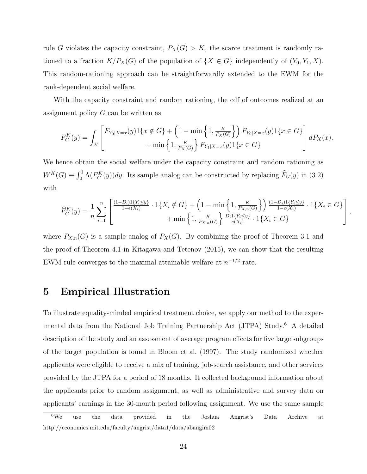rule G violates the capacity constraint,  $P_X(G) > K$ , the scarce treatment is randomly rationed to a fraction  $K/P_X(G)$  of the population of  $\{X \in G\}$  independently of  $(Y_0, Y_1, X)$ . This random-rationing approach can be straightforwardly extended to the EWM for the rank-dependent social welfare.

With the capacity constraint and random rationing, the cdf of outcomes realized at an assignment policy G can be written as

$$
F_G^K(y) = \int_{\mathcal{X}} \left[ F_{Y_0|X=x}(y) \mathbf{1}\{x \notin G\} + \left(1 - \min\left\{1, \frac{K}{P_X(G)}\right\} \right) F_{Y_0|X=x}(y) \mathbf{1}\{x \in G\} \right] dP_X(x).
$$
  
+ 
$$
\min \left\{1, \frac{K}{P_X(G)}\right\} F_{Y_1|X=x}(y) \mathbf{1}\{x \in G\}
$$

We hence obtain the social welfare under the capacity constraint and random rationing as  $W^K(G) \equiv \int_0^1 \Lambda(F_G^K(y)) dy$ . Its sample analog can be constructed by replacing  $\widehat{F}_G(y)$  in (3.2) with

$$
\widehat{F}_{G}^{K}(y) = \frac{1}{n} \sum_{i=1}^{n} \left[ \frac{\frac{(1-D_{i})1\{Y_{i} \leq y\}}{1-e(X_{i})} \cdot 1\{X_{i} \notin G\} + \left(1 - \min\left\{1, \frac{K}{P_{X,n}(G)}\right\}\right) \frac{(1-D_{i})1\{Y_{i} \leq y\}}{1-e(X_{i})} \cdot 1\{X_{i} \in G\}}{1 + \min\left\{1, \frac{K}{P_{X,n}(G)}\right\} \frac{D_{i}1\{Y_{i} \leq y\}}{e(X_{i})} \cdot 1\{X_{i} \in G\}} \right],
$$

where  $P_{X,n}(G)$  is a sample analog of  $P_X(G)$ . By combining the proof of Theorem 3.1 and the proof of Theorem 4.1 in Kitagawa and Tetenov (2015), we can show that the resulting EWM rule converges to the maximal attainable welfare at  $n^{-1/2}$  rate.

## 5 Empirical Illustration

To illustrate equality-minded empirical treatment choice, we apply our method to the experimental data from the National Job Training Partnership Act (JTPA) Study.<sup>6</sup> A detailed description of the study and an assessment of average program effects for five large subgroups of the target population is found in Bloom et al. (1997). The study randomized whether applicants were eligible to receive a mix of training, job-search assistance, and other services provided by the JTPA for a period of 18 months. It collected background information about the applicants prior to random assignment, as well as administrative and survey data on applicants' earnings in the 30-month period following assignment. We use the same sample

<sup>6</sup>We use the data provided in the Joshua Angrist's Data Archive at http://economics.mit.edu/faculty/angrist/data1/data/abangim02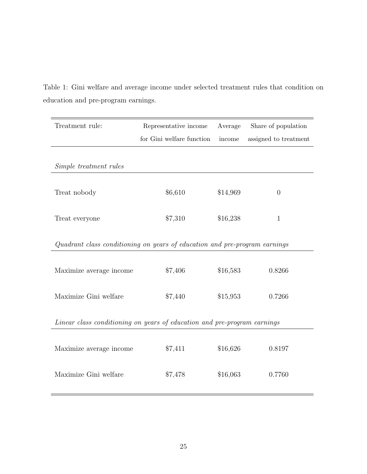| Treatment rule:                                                            | Representative income     | Average  | Share of population   |
|----------------------------------------------------------------------------|---------------------------|----------|-----------------------|
|                                                                            | for Gini welfare function | income   | assigned to treatment |
|                                                                            |                           |          |                       |
| Simple treatment rules                                                     |                           |          |                       |
|                                                                            |                           |          |                       |
| Treat nobody                                                               | \$6,610                   | \$14,969 | $\overline{0}$        |
|                                                                            |                           |          |                       |
| Treat everyone                                                             | \$7,310                   | \$16,238 | $\mathbf{1}$          |
|                                                                            |                           |          |                       |
| Quadrant class conditioning on years of education and pre-program earnings |                           |          |                       |
|                                                                            | \$7,406                   | \$16,583 | 0.8266                |
| Maximize average income                                                    |                           |          |                       |
| Maximize Gini welfare                                                      | \$7,440                   | \$15,953 | 0.7266                |
|                                                                            |                           |          |                       |
| Linear class conditioning on years of education and pre-program earnings   |                           |          |                       |
|                                                                            |                           |          |                       |
| Maximize average income                                                    | \$7,411                   | \$16,626 | 0.8197                |
|                                                                            |                           |          |                       |
| Maximize Gini welfare                                                      | \$7,478                   | \$16,063 | 0.7760                |
|                                                                            |                           |          |                       |

Table 1: Gini welfare and average income under selected treatment rules that condition on education and pre-program earnings.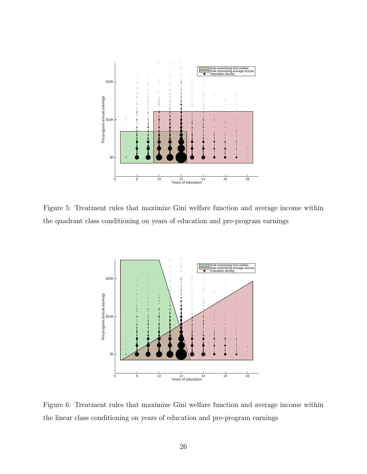

Figure 5: Treatment rules that maximize Gini welfare function and average income within the quadrant class conditioning on years of education and pre-program earnings



Figure 6: Treatment rules that maximize Gini welfare function and average income within the linear class conditioning on years of education and pre-program earnings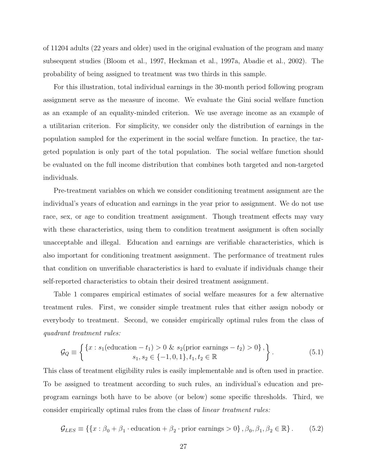of 11204 adults (22 years and older) used in the original evaluation of the program and many subsequent studies (Bloom et al., 1997, Heckman et al., 1997a, Abadie et al., 2002). The probability of being assigned to treatment was two thirds in this sample.

For this illustration, total individual earnings in the 30-month period following program assignment serve as the measure of income. We evaluate the Gini social welfare function as an example of an equality-minded criterion. We use average income as an example of a utilitarian criterion. For simplicity, we consider only the distribution of earnings in the population sampled for the experiment in the social welfare function. In practice, the targeted population is only part of the total population. The social welfare function should be evaluated on the full income distribution that combines both targeted and non-targeted individuals.

Pre-treatment variables on which we consider conditioning treatment assignment are the individual's years of education and earnings in the year prior to assignment. We do not use race, sex, or age to condition treatment assignment. Though treatment effects may vary with these characteristics, using them to condition treatment assignment is often socially unacceptable and illegal. Education and earnings are verifiable characteristics, which is also important for conditioning treatment assignment. The performance of treatment rules that condition on unverifiable characteristics is hard to evaluate if individuals change their self-reported characteristics to obtain their desired treatment assignment.

Table 1 compares empirical estimates of social welfare measures for a few alternative treatment rules. First, we consider simple treatment rules that either assign nobody or everybody to treatment. Second, we consider empirically optimal rules from the class of quadrant treatment rules:

$$
\mathcal{G}_Q \equiv \left\{ \begin{aligned} &\{x : s_1(\text{eduction} - t_1) > 0 \ \& s_2(\text{prior earnings} - t_2) > 0\} \,, \\ & s_1, s_2 \in \{-1, 0, 1\}, t_1, t_2 \in \mathbb{R} \end{aligned} \right\} \tag{5.1}
$$

This class of treatment eligibility rules is easily implementable and is often used in practice. To be assigned to treatment according to such rules, an individual's education and preprogram earnings both have to be above (or below) some specific thresholds. Third, we consider empirically optimal rules from the class of linear treatment rules:

$$
\mathcal{G}_{LES} \equiv \{ \{x : \beta_0 + \beta_1 \cdot \text{eduction} + \beta_2 \cdot \text{prior earnings} > 0 \}, \beta_0, \beta_1, \beta_2 \in \mathbb{R} \}. \tag{5.2}
$$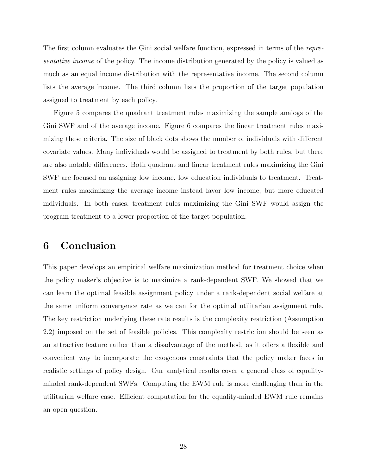The first column evaluates the Gini social welfare function, expressed in terms of the representative income of the policy. The income distribution generated by the policy is valued as much as an equal income distribution with the representative income. The second column lists the average income. The third column lists the proportion of the target population assigned to treatment by each policy.

Figure 5 compares the quadrant treatment rules maximizing the sample analogs of the Gini SWF and of the average income. Figure 6 compares the linear treatment rules maximizing these criteria. The size of black dots shows the number of individuals with different covariate values. Many individuals would be assigned to treatment by both rules, but there are also notable differences. Both quadrant and linear treatment rules maximizing the Gini SWF are focused on assigning low income, low education individuals to treatment. Treatment rules maximizing the average income instead favor low income, but more educated individuals. In both cases, treatment rules maximizing the Gini SWF would assign the program treatment to a lower proportion of the target population.

# 6 Conclusion

This paper develops an empirical welfare maximization method for treatment choice when the policy maker's objective is to maximize a rank-dependent SWF. We showed that we can learn the optimal feasible assignment policy under a rank-dependent social welfare at the same uniform convergence rate as we can for the optimal utilitarian assignment rule. The key restriction underlying these rate results is the complexity restriction (Assumption 2.2) imposed on the set of feasible policies. This complexity restriction should be seen as an attractive feature rather than a disadvantage of the method, as it offers a flexible and convenient way to incorporate the exogenous constraints that the policy maker faces in realistic settings of policy design. Our analytical results cover a general class of equalityminded rank-dependent SWFs. Computing the EWM rule is more challenging than in the utilitarian welfare case. Efficient computation for the equality-minded EWM rule remains an open question.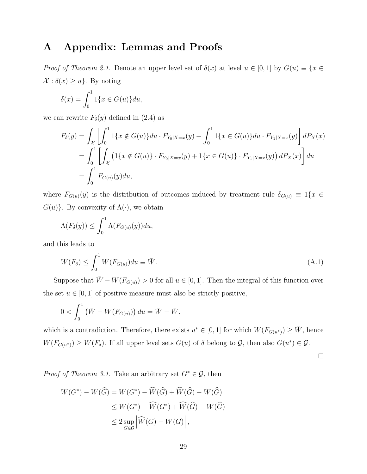# A Appendix: Lemmas and Proofs

*Proof of Theorem 2.1.* Denote an upper level set of  $\delta(x)$  at level  $u \in [0,1]$  by  $G(u) \equiv \{x \in$  $\mathcal{X}: \delta(x) \geq u$ . By noting

$$
\delta(x) = \int_0^1 1\{x \in G(u)\} du,
$$

we can rewrite  $F_{\delta}(y)$  defined in (2.4) as

$$
F_{\delta}(y) = \int_{\mathcal{X}} \left[ \int_0^1 1\{x \notin G(u)\} du \cdot F_{Y_0|X=x}(y) + \int_0^1 1\{x \in G(u)\} du \cdot F_{Y_1|X=x}(y) \right] dP_X(x)
$$
  
= 
$$
\int_0^1 \left[ \int_{\mathcal{X}} \left( 1\{x \notin G(u)\} \cdot F_{Y_0|X=x}(y) + 1\{x \in G(u)\} \cdot F_{Y_1|X=x}(y) \right) dP_X(x) \right] du
$$
  
= 
$$
\int_0^1 F_{G(u)}(y) du,
$$

where  $F_{G(u)}(y)$  is the distribution of outcomes induced by treatment rule  $\delta_{G(u)} \equiv 1\{x \in$  $G(u)$ . By convexity of  $\Lambda(\cdot)$ , we obtain

$$
\Lambda(F_{\delta}(y)) \leq \int_0^1 \Lambda(F_{G(u)}(y)) du,
$$

and this leads to

$$
W(F_{\delta}) \le \int_0^1 W(F_{G(u)}) du \equiv \bar{W}.
$$
\n(A.1)

Suppose that  $\overline{W} - W(F_{G(u)}) > 0$  for all  $u \in [0, 1]$ . Then the integral of this function over the set  $u \in [0, 1]$  of positive measure must also be strictly positive,

$$
0 < \int_0^1 \left( \bar{W} - W(F_{G(u)}) \right) du = \bar{W} - \bar{W},
$$

which is a contradiction. Therefore, there exists  $u^* \in [0,1]$  for which  $W(F_{G(u^*)}) \geq \overline{W}$ , hence  $W(F_{G(u^*)}) \geq W(F_{\delta})$ . If all upper level sets  $G(u)$  of  $\delta$  belong to  $\mathcal{G}$ , then also  $G(u^*) \in \mathcal{G}$ .

 $\Box$ 

*Proof of Theorem 3.1.* Take an arbitrary set  $G^* \in \mathcal{G}$ , then

$$
W(G^*) - W(\widehat{G}) = W(G^*) - \widehat{W}(\widehat{G}) + \widehat{W}(\widehat{G}) - W(\widehat{G})
$$
  
\n
$$
\leq W(G^*) - \widehat{W}(G^*) + \widehat{W}(\widehat{G}) - W(\widehat{G})
$$
  
\n
$$
\leq 2 \sup_{G \in \mathcal{G}} \left| \widehat{W}(G) - W(G) \right|,
$$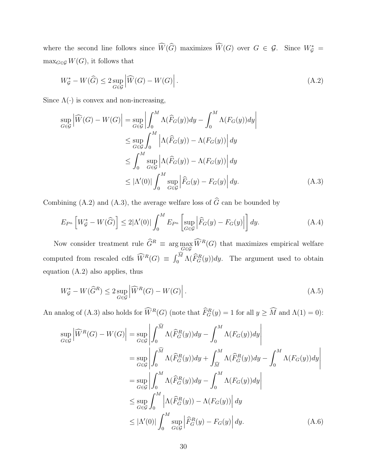where the second line follows since  $\widehat{W}(\widehat{G})$  maximizes  $\widehat{W}(G)$  over  $G \in \mathcal{G}$ . Since  $W^*_{\mathcal{G}} =$  $\max_{G \in \mathcal{G}} W(G)$ , it follows that

$$
W_{\mathcal{G}}^* - W(\widehat{G}) \le 2 \sup_{G \in \mathcal{G}} \left| \widehat{W}(G) - W(G) \right|.
$$
\n(A.2)

Since  $\Lambda(\cdot)$  is convex and non-increasing,

$$
\sup_{G \in \mathcal{G}} \left| \widehat{W}(G) - W(G) \right| = \sup_{G \in \mathcal{G}} \left| \int_0^M \Lambda(\widehat{F}_G(y)) dy - \int_0^M \Lambda(F_G(y)) dy \right|
$$
  
\n
$$
\leq \sup_{G \in \mathcal{G}} \int_0^M \left| \Lambda(\widehat{F}_G(y)) - \Lambda(F_G(y)) \right| dy
$$
  
\n
$$
\leq \int_0^M \sup_{G \in \mathcal{G}} \left| \Lambda(\widehat{F}_G(y)) - \Lambda(F_G(y)) \right| dy
$$
  
\n
$$
\leq |\Lambda'(0)| \int_0^M \sup_{G \in \mathcal{G}} \left| \widehat{F}_G(y) - F_G(y) \right| dy.
$$
 (A.3)

Combining (A.2) and (A.3), the average welfare loss of  $\widehat{G}$  can be bounded by

$$
E_{P^n}\left[W_{\mathcal{G}}^* - W(\widehat{G})\right] \le 2|\Lambda'(0)| \int_0^M E_{P^n}\left[\sup_{G \in \mathcal{G}} \left|\widehat{F}_G(y) - F_G(y)\right|\right] dy. \tag{A.4}
$$

Now consider treatment rule  $\hat{G}^R \equiv \arg \max_{G \in \mathcal{G}} \hat{W}^R(G)$  that maximizes empirical welfare computed from rescaled cdfs  $\widehat{W}^R(G) \equiv \int_0^M \Lambda(\widehat{F}_G^R(y))dy$ . The argument used to obtain equation (A.2) also applies, thus

$$
W_{\mathcal{G}}^* - W(\widehat{G}^R) \le 2 \sup_{G \in \mathcal{G}} \left| \widehat{W}^R(G) - W(G) \right|.
$$
\n(A.5)

An analog of (A.3) also holds for  $\hat{W}^R(G)$  (note that  $\hat{F}^R_G(y) = 1$  for all  $y \geq \hat{M}$  and  $\Lambda(1) = 0$ ):

$$
\sup_{G \in \mathcal{G}} \left| \widehat{W}^{R}(G) - W(G) \right| = \sup_{G \in \mathcal{G}} \left| \int_{0}^{\widehat{M}} \Lambda(\widehat{F}_{G}^{R}(y)) dy - \int_{0}^{M} \Lambda(F_{G}(y)) dy \right|
$$
  
\n
$$
= \sup_{G \in \mathcal{G}} \left| \int_{0}^{\widehat{M}} \Lambda(\widehat{F}_{G}^{R}(y)) dy + \int_{\widehat{M}}^{M} \Lambda(\widehat{F}_{G}^{R}(y)) dy - \int_{0}^{M} \Lambda(F_{G}(y)) dy \right|
$$
  
\n
$$
= \sup_{G \in \mathcal{G}} \left| \int_{0}^{M} \Lambda(\widehat{F}_{G}^{R}(y)) dy - \int_{0}^{M} \Lambda(F_{G}(y)) dy \right|
$$
  
\n
$$
\leq \sup_{G \in \mathcal{G}} \int_{0}^{M} \left| \Lambda(\widehat{F}_{G}^{R}(y)) - \Lambda(F_{G}(y)) \right| dy
$$
  
\n
$$
\leq |\Lambda'(0)| \int_{0}^{M} \sup_{G \in \mathcal{G}} \left| \widehat{F}_{G}^{R}(y) - F_{G}(y) \right| dy.
$$
 (A.6)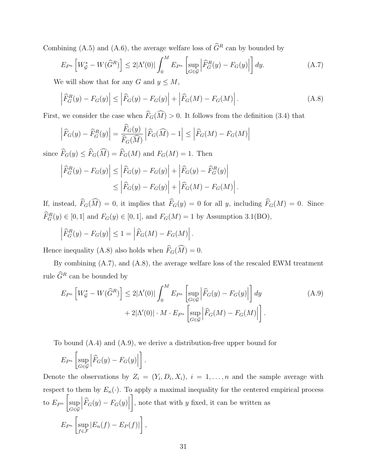Combining (A.5) and (A.6), the average welfare loss of  $\widehat{G}^R$  can by bounded by

$$
E_{P^n}\left[W_{\mathcal{G}}^* - W(\widehat{G}^R)\right] \le 2|\Lambda'(0)| \int_0^M E_{P^n}\left[\sup_{G \in \mathcal{G}} \left|\widehat{F}_G^R(y) - F_G(y)\right|\right] dy. \tag{A.7}
$$

We will show that for any G and  $y \leq M$ ,

$$
\left| \widehat{F}_G^R(y) - F_G(y) \right| \le \left| \widehat{F}_G(y) - F_G(y) \right| + \left| \widehat{F}_G(M) - F_G(M) \right|.
$$
\n(A.8)

First, we consider the case when  $\hat{F}_G(\hat{M}) > 0$ . It follows from the definition (3.4) that

$$
\left| \widehat{F}_G(y) - \widehat{F}_G^R(y) \right| = \frac{\widehat{F}_G(y)}{\widehat{F}_G(\widehat{M})} \left| \widehat{F}_G(\widehat{M}) - 1 \right| \le \left| \widehat{F}_G(M) - F_G(M) \right|
$$

since  $\widehat{F}_G(y) \leq \widehat{F}_G(\widehat{M}) = \widehat{F}_G(M)$  and  $F_G(M) = 1$ . Then

$$
\left| \widehat{F}_G^R(y) - F_G(y) \right| \le \left| \widehat{F}_G(y) - F_G(y) \right| + \left| \widehat{F}_G(y) - \widehat{F}_G^R(y) \right|
$$
  

$$
\le \left| \widehat{F}_G(y) - F_G(y) \right| + \left| \widehat{F}_G(M) - F_G(M) \right|.
$$

If, instead,  $\widehat{F}_G(\widehat{M}) = 0$ , it implies that  $\widehat{F}_G(y) = 0$  for all y, including  $\widehat{F}_G(M) = 0$ . Since  $\hat{F}_{G}^{R}(y) \in [0, 1]$  and  $F_{G}(y) \in [0, 1]$ , and  $F_{G}(M) = 1$  by Assumption 3.1(BO),

$$
\left|\widehat{F}_G^R(y) - F_G(y)\right| \le 1 = \left|\widehat{F}_G(M) - F_G(M)\right|.
$$

Hence inequality (A.8) also holds when  $\hat{F}_G(\hat{M}) = 0$ .

By combining (A.7), and (A.8), the average welfare loss of the rescaled EWM treatment rule  $\widehat{G}^R$  can be bounded by

$$
E_{P^n} \left[ W^*_{\mathcal{G}} - W(\widehat{G}^R) \right] \le 2|\Lambda'(0)| \int_0^M E_{P^n} \left[ \sup_{G \in \mathcal{G}} \left| \widehat{F}_G(y) - F_G(y) \right| \right] dy
$$
  
+ 2|\Lambda'(0)| \cdot M \cdot E\_{P^n} \left[ \sup\_{G \in \mathcal{G}} \left| \widehat{F}\_G(M) - F\_G(M) \right| \right]. \tag{A.9}

To bound (A.4) and (A.9), we derive a distribution-free upper bound for

$$
E_{P^n}\left[\sup_{G\in\mathcal{G}}\left|\widehat{F}_G(y)-F_G(y)\right|\right].
$$

Denote the observations by  $Z_i = (Y_i, D_i, X_i), i = 1, \ldots, n$  and the sample average with respect to them by  $E_n(\cdot)$ . To apply a maximal inequality for the centered empirical process to  $E_{P^n}$  $\sqrt{ }$ sup G∈G  $\left|\widehat{F}_G(y)-F_G(y)\right|$ 1 , note that with  $y$  fixed, it can be written as  $E_{P^n}$  $\sqrt{ }$ sup  $f \in \mathcal{F}$  $|E_n(f) - E_P(f)|$ 1 ,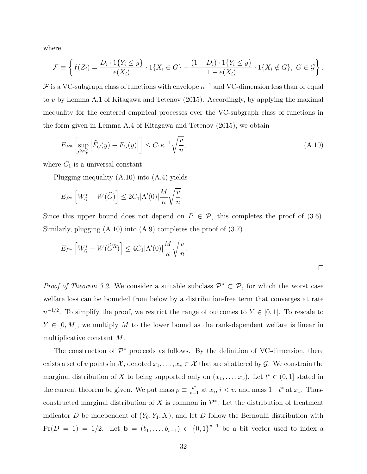where

$$
\mathcal{F} \equiv \left\{ f(Z_i) = \frac{D_i \cdot 1\{Y_i \le y\}}{e(X_i)} \cdot 1\{X_i \in G\} + \frac{(1 - D_i) \cdot 1\{Y_i \le y\}}{1 - e(X_i)} \cdot 1\{X_i \notin G\}, \ G \in \mathcal{G} \right\}.
$$

 $\mathcal F$  is a VC-subgraph class of functions with envelope  $\kappa^{-1}$  and VC-dimension less than or equal to v by Lemma A.1 of Kitagawa and Tetenov (2015). Accordingly, by applying the maximal inequality for the centered empirical processes over the VC-subgraph class of functions in the form given in Lemma A.4 of Kitagawa and Tetenov (2015), we obtain

$$
E_{P^n} \left[ \sup_{G \in \mathcal{G}} \left| \widehat{F}_G(y) - F_G(y) \right| \right] \le C_1 \kappa^{-1} \sqrt{\frac{v}{n}}, \tag{A.10}
$$

where  $C_1$  is a universal constant.

Plugging inequality (A.10) into (A.4) yields

$$
E_{P^n}\left[W_{\mathcal{G}}^* - W(\widehat{G})\right] \leq 2C_1|\Lambda'(0)|\frac{M}{\kappa}\sqrt{\frac{v}{n}}.
$$

Since this upper bound does not depend on  $P \in \mathcal{P}$ , this completes the proof of (3.6). Similarly, plugging  $(A.10)$  into  $(A.9)$  completes the proof of  $(3.7)$ 

$$
E_{P^n}\left[W_g^* - W(\widehat{G}^R)\right] \le 4C_1|\Lambda'(0)|\frac{M}{\kappa}\sqrt{\frac{v}{n}}.
$$

*Proof of Theorem 3.2.* We consider a suitable subclass  $\mathcal{P}^* \subset \mathcal{P}$ , for which the worst case welfare loss can be bounded from below by a distribution-free term that converges at rate  $n^{-1/2}$ . To simplify the proof, we restrict the range of outcomes to  $Y \in [0,1]$ . To rescale to  $Y \in [0, M]$ , we multiply M to the lower bound as the rank-dependent welfare is linear in multiplicative constant M.

The construction of  $\mathcal{P}^*$  proceeds as follows. By the definition of VC-dimension, there exists a set of v points in  $\mathcal{X}$ , denoted  $x_1, \ldots, x_v \in \mathcal{X}$  that are shattered by  $\mathcal{G}$ . We constrain the marginal distribution of X to being supported only on  $(x_1, \ldots, x_v)$ . Let  $t^* \in (0, 1]$  stated in the current theorem be given. We put mass  $p \equiv \frac{t^*}{n}$  $\frac{t^*}{v-1}$  at  $x_i$ ,  $i < v$ , and mass  $1-t^*$  at  $x_v$ . Thusconstructed marginal distribution of X is common in  $\mathcal{P}^*$ . Let the distribution of treatment indicator D be independent of  $(Y_0, Y_1, X)$ , and let D follow the Bernoulli distribution with  $Pr(D = 1) = 1/2$ . Let  $\mathbf{b} = (b_1, \ldots, b_{v-1}) \in \{0,1\}^{v-1}$  be a bit vector used to index a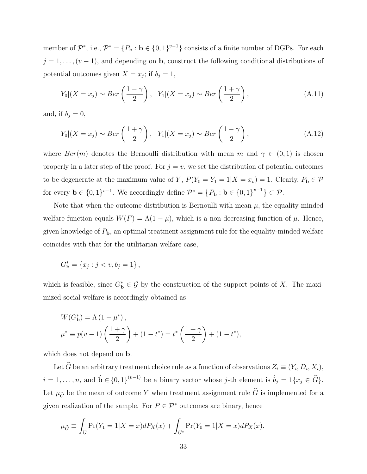member of  $\mathcal{P}^*$ , i.e.,  $\mathcal{P}^* = \{P_{\mathbf{b}} : \mathbf{b} \in \{0,1\}^{v-1}\}$  consists of a finite number of DGPs. For each  $j = 1, \ldots, (v-1)$ , and depending on **b**, construct the following conditional distributions of potential outcomes given  $X = x_j$ ; if  $b_j = 1$ ,

$$
Y_0|(X=x_j) \sim Ber\left(\frac{1-\gamma}{2}\right), \quad Y_1|(X=x_j) \sim Ber\left(\frac{1+\gamma}{2}\right),\tag{A.11}
$$

and, if  $b_j = 0$ ,

$$
Y_0|(X=x_j) \sim Ber\left(\frac{1+\gamma}{2}\right), \quad Y_1|(X=x_j) \sim Ber\left(\frac{1-\gamma}{2}\right),\tag{A.12}
$$

where  $Ber(m)$  denotes the Bernoulli distribution with mean m and  $\gamma \in (0,1)$  is chosen properly in a later step of the proof. For  $j = v$ , we set the distribution of potential outcomes to be degenerate at the maximum value of Y,  $P(Y_0 = Y_1 = 1 | X = x_v) = 1$ . Clearly,  $P_{\mathbf{b}} \in \mathcal{P}$ for every  $\mathbf{b} \in \{0,1\}^{v-1}$ . We accordingly define  $\mathcal{P}^* = \{P_\mathbf{b} : \mathbf{b} \in \{0,1\}^{v-1}\} \subset \mathcal{P}$ .

Note that when the outcome distribution is Bernoulli with mean  $\mu$ , the equality-minded welfare function equals  $W(F) = \Lambda(1 - \mu)$ , which is a non-decreasing function of  $\mu$ . Hence, given knowledge of  $P_{\mathbf{b}}$ , an optimal treatment assignment rule for the equality-minded welfare coincides with that for the utilitarian welfare case,

$$
G_{\mathbf{b}}^* = \{x_j : j < v, b_j = 1\} \,,
$$

which is feasible, since  $G_{\mathbf{b}}^* \in \mathcal{G}$  by the construction of the support points of X. The maximized social welfare is accordingly obtained as

$$
W(G_{\mathbf{b}}^{*}) = \Lambda (1 - \mu^{*}),
$$
  

$$
\mu^{*} \equiv p(v - 1) \left( \frac{1 + \gamma}{2} \right) + (1 - t^{*}) = t^{*} \left( \frac{1 + \gamma}{2} \right) + (1 - t^{*}),
$$

which does not depend on **b**.

Let G be an arbitrary treatment choice rule as a function of observations  $Z_i \equiv (Y_i, D_i, X_i)$ ,  $i = 1, \ldots, n$ , and  $\hat{\mathbf{b}} \in \{0, 1\}^{(v-1)}$  be a binary vector whose j-th element is  $\hat{b}_j = 1\{x_j \in \widehat{G}\}.$ Let  $\mu_{\widehat{G}}$  be the mean of outcome Y when treatment assignment rule  $\widehat{G}$  is implemented for a given realization of the sample. For  $P \in \mathcal{P}^*$  outcomes are binary, hence

$$
\mu_{\widehat{G}} \equiv \int_{\widehat{G}} \Pr(Y_1 = 1 | X = x) dP_X(x) + \int_{\widehat{G}^c} \Pr(Y_0 = 1 | X = x) dP_X(x).
$$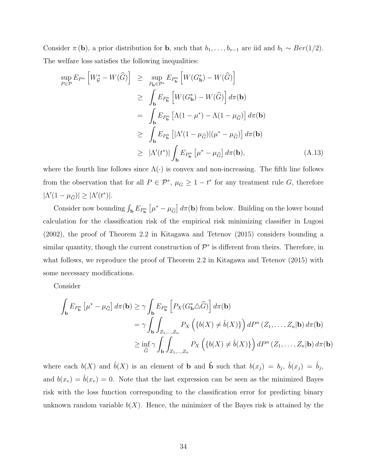Consider  $\pi$  (**b**), a prior distribution for **b**, such that  $b_1, \ldots, b_{v-1}$  are iid and  $b_1 \sim Ber(1/2)$ . The welfare loss satisfies the following inequalities:

$$
\sup_{P \in \mathcal{P}} E_{P^n} \left[ W_{\mathcal{G}}^* - W(\widehat{G}) \right] \ge \sup_{P_{\mathbf{b}} \in \mathcal{P}^*} E_{P_{\mathbf{b}}^n} \left[ W(G_{\mathbf{b}}^*) - W(\widehat{G}) \right]
$$
  
\n
$$
\ge \int_{\mathbf{b}} E_{P_{\mathbf{b}}^n} \left[ W(G_{\mathbf{b}}^*) - W(\widehat{G}) \right] d\pi(\mathbf{b})
$$
  
\n
$$
= \int_{\mathbf{b}} E_{P_{\mathbf{b}}^n} \left[ \Lambda (1 - \mu^*) - \Lambda (1 - \mu_{\widehat{G}}) \right] d\pi(\mathbf{b})
$$
  
\n
$$
\ge \int_{\mathbf{b}} E_{P_{\mathbf{b}}^n} \left[ |\Lambda'(1 - \mu_{\widehat{G}})| (\mu^* - \mu_{\widehat{G}}) \right] d\pi(\mathbf{b})
$$
  
\n
$$
\ge |\Lambda'(t^*)| \int_{\mathbf{b}} E_{P_{\mathbf{b}}^n} \left[ \mu^* - \mu_{\widehat{G}} \right] d\pi(\mathbf{b}), \tag{A.13}
$$

where the fourth line follows since  $\Lambda(\cdot)$  is convex and non-increasing. The fifth line follows from the observation that for all  $P \in \mathcal{P}^*$ ,  $\mu_G \geq 1 - t^*$  for any treatment rule G, therefore  $|\Lambda'(1-\mu_{\widehat{G}})| \geq |\Lambda'(t^*)|.$ 

Consider now bounding  $\int_{\mathbf{b}} E_{P_{\mathbf{b}}^n} \left[ \mu^* - \mu_{\widehat{G}} \right] d\pi(\mathbf{b})$  from below. Building on the lower bound calculation for the classification risk of the empirical risk minimizing classifier in Lugosi (2002), the proof of Theorem 2.2 in Kitagawa and Tetenov (2015) considers bounding a similar quantity, though the current construction of  $\mathcal{P}^*$  is different from theirs. Therefore, in what follows, we reproduce the proof of Theorem 2.2 in Kitagawa and Tetenov (2015) with some necessary modifications.

Consider

$$
\int_{\mathbf{b}} E_{P_{\mathbf{b}}} \left[ \mu^* - \mu_{\widehat{G}} \right] d\pi(\mathbf{b}) \geq \gamma \int_{\mathbf{b}} E_{P_{\mathbf{b}}} \left[ P_X(G_{\mathbf{b}}^* \Delta \widehat{G}) \right] d\pi(\mathbf{b})
$$
\n
$$
= \gamma \int_{\mathbf{b}} \int_{Z_1, \dots, Z_n} P_X \left( \{ b(X) \neq \hat{b}(X) \} \right) dP^n \left( Z_1, \dots, Z_n | \mathbf{b} \right) d\pi(\mathbf{b})
$$
\n
$$
\geq \inf_{\widehat{G}} \gamma \int_{\mathbf{b}} \int_{Z_1, \dots, Z_n} P_X \left( \{ b(X) \neq \hat{b}(X) \} \right) dP^n \left( Z_1, \dots, Z_n | \mathbf{b} \right) d\pi(\mathbf{b})
$$

where each  $b(X)$  and  $\hat{b}(X)$  is an element of **b** and **b** such that  $b(x_j) = b_j$ ,  $\hat{b}(x_j) = \hat{b}_j$ , and  $b(x_v) = \hat{b}(x_v) = 0$ . Note that the last expression can be seen as the minimized Bayes risk with the loss function corresponding to the classification error for predicting binary unknown random variable  $b(X)$ . Hence, the minimizer of the Bayes risk is attained by the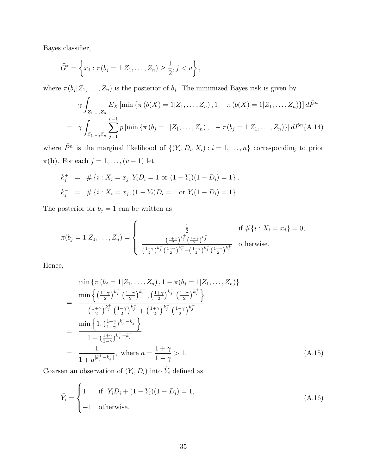Bayes classifier,

$$
\widehat{G}^* = \left\{ x_j : \pi(b_j = 1 | Z_1, \dots, Z_n) \ge \frac{1}{2}, j < v \right\},\
$$

where  $\pi(b_j|Z_1,\ldots,Z_n)$  is the posterior of  $b_j$ . The minimized Bayes risk is given by

$$
\gamma \int_{Z_1,\dots,Z_n} E_X \left[ \min \left\{ \pi \left( b(X) = 1 | Z_1,\dots,Z_n \right), 1 - \pi \left( b(X) = 1 | Z_1,\dots,Z_n \right) \right\} \right] d\tilde{P}^n
$$
  
= 
$$
\gamma \int_{Z_1,\dots,Z_n} \sum_{j=1}^{\nu-1} p \left[ \min \left\{ \pi \left( b_j = 1 | Z_1,\dots,Z_n \right), 1 - \pi \left( b_j = 1 | Z_1,\dots,Z_n \right) \right\} \right] d\tilde{P}^n (A.14)
$$

where  $\tilde{P}^n$  is the marginal likelihood of  $\{(Y_i, D_i, X_i) : i = 1, \ldots, n\}$  corresponding to prior  $\pi(\mathbf{b})$ . For each  $j = 1, \ldots, (v-1)$  let

$$
k_j^+ = # \{ i : X_i = x_j, Y_i D_i = 1 \text{ or } (1 - Y_i)(1 - D_i) = 1 \},
$$
  

$$
k_j^- = # \{ i : X_i = x_j, (1 - Y_i)D_i = 1 \text{ or } Y_i(1 - D_i) = 1 \}.
$$

The posterior for  $b_j = 1$  can be written as

$$
\pi(b_j = 1 | Z_1, \dots, Z_n) = \begin{cases} \frac{\frac{1}{2}}{\left(\frac{1+\gamma}{2}\right)^{k_j^+} \left(\frac{1-\gamma}{2}\right)^{k_j^-}} & \text{if } \#\{i : X_i = x_j\} = 0, \\ \frac{\left(\frac{1+\gamma}{2}\right)^{k_j^+} \left(\frac{1-\gamma}{2}\right)^{k_j^-}}{\left(\frac{1+\gamma}{2}\right)^{k_j^+} \left(\frac{1-\gamma}{2}\right)^{k_j^-} \left(\frac{1-\gamma}{2}\right)^{k_j^+}} & \text{otherwise.} \end{cases}
$$

Hence,

$$
\min \left\{ \pi \left( b_j = 1 | Z_1, \dots, Z_n \right), 1 - \pi \left( b_j = 1 | Z_1, \dots, Z_n \right) \right\}
$$
\n
$$
= \frac{\min \left\{ \left( \frac{1+\gamma}{2} \right)^{k_j^+} \left( \frac{1-\gamma}{2} \right)^{k_j^-} , \left( \frac{1+\gamma}{2} \right)^{k_j^-} \left( \frac{1-\gamma}{2} \right)^{k_j^+} \right\}}{\left( \frac{1+\gamma}{2} \right)^{k_j^+} \left( \frac{1-\gamma}{2} \right)^{k_j^-} + \left( \frac{1+\gamma}{2} \right)^{k_j^-} \left( \frac{1-\gamma}{2} \right)^{k_j^+}} \right\}}
$$
\n
$$
= \frac{\min \left\{ 1, \left( \frac{1+\gamma}{1-\gamma} \right)^{k_j^+ - k_j^-} \right\}}{1 + \left( \frac{1+\gamma}{1-\gamma} \right)^{k_j^+ - k_j^-}}
$$
\n
$$
= \frac{1}{1 + a^{\left[ k_j^+ - k_j^- \right]}}, \text{ where } a = \frac{1+\gamma}{1-\gamma} > 1. \tag{A.15}
$$

Coarsen an observation of  $(Y_i, D_i)$  into  $\tilde{Y}_i$  defined as

$$
\tilde{Y}_i = \begin{cases}\n1 & \text{if } Y_i D_i + (1 - Y_i)(1 - D_i) = 1, \\
-1 & \text{otherwise.} \n\end{cases}
$$
\n(A.16)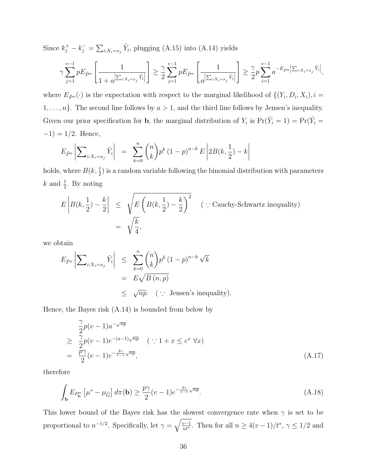Since  $k_j^+ - k_j^- = \sum_{i:X_i = x_j} \tilde{Y}_i$ , plugging (A.15) into (A.14) yields

$$
\gamma \sum_{j=1}^{v-1} p E_{\tilde{P}^n} \left[ \frac{1}{1 + a^{\left| \sum_{i:X_i = x_j} \tilde{Y}_i \right|}} \right] \ge \frac{\gamma}{2} \sum_{j=1}^{v-1} p E_{\tilde{P}^n} \left[ \frac{1}{a^{\left| \sum_{i:X_i = x_j} \tilde{Y}_i \right|}} \right] \ge \frac{\gamma}{2} p \sum_{i=1}^{v-1} a^{-E_{\tilde{P}^n} \left| \sum_{i:X_i = x_j} \tilde{Y}_i \right|},
$$

where  $E_{\tilde{P}^n}(\cdot)$  is the expectation with respect to the marginal likelihood of  $\{(Y_i, D_i, X_i), i =$  $1, \ldots, n$ . The second line follows by  $a > 1$ , and the third line follows by Jensen's inequality. Given our prior specification for **b**, the marginal distribution of  $Y_i$  is  $Pr(\tilde{Y}_i = 1) = Pr(\tilde{Y}_i = 1)$  $-1$ ) = 1/2. Hence,

$$
E_{\tilde{P}^n} \left| \sum_{i:X_i = x_j} \tilde{Y}_i \right| = \sum_{k=0}^n {n \choose k} p^k (1-p)^{n-k} E \left| 2B(k, \frac{1}{2}) - k \right|
$$

holds, where  $B(k, \frac{1}{2})$  is a random variable following the binomial distribution with parameters  $k$  and  $\frac{1}{2}$ . By noting

$$
E\left|B(k,\frac{1}{2}) - \frac{k}{2}\right| \le \sqrt{E\left(B(k,\frac{1}{2}) - \frac{k}{2}\right)^2} \quad (\because \text{Cauchy-Schwartz inequality})
$$
  
=  $\sqrt{\frac{k}{4}},$ 

we obtain

$$
E_{\tilde{P}^n} \left| \sum_{i:X_i=x_j} \tilde{Y}_i \right| \leq \sum_{k=0}^n {n \choose k} p^k (1-p)^{n-k} \sqrt{k}
$$
  
=  $E \sqrt{B(n,p)}$   
 $\leq \sqrt{np}. \quad (\because \text{ Jensen's inequality}).$ 

Hence, the Bayes risk (A.14) is bounded from below by

$$
\frac{\gamma}{2}p(v-1)a^{-\sqrt{np}}\n\geq \frac{\gamma}{2}p(v-1)e^{-(a-1)\sqrt{np}} \quad (\because 1+x \leq e^x \,\forall x)
$$
\n
$$
= \frac{p\gamma}{2}(v-1)e^{-\frac{2\gamma}{1-\gamma}\sqrt{np}},
$$
\n(A.17)

therefore

$$
\int_{\mathbf{b}} E_{P_{\mathbf{b}}^n} \left[ \mu^* - \mu_{\widehat{G}} \right] d\pi(\mathbf{b}) \ge \frac{p\gamma}{2} (v - 1) e^{-\frac{2\gamma}{1 - \gamma} \sqrt{np}}.
$$
\n(A.18)

This lower bound of the Bayes risk has the slowest convergence rate when  $\gamma$  is set to be proportional to  $n^{-1/2}$ . Specifically, let  $\gamma = \sqrt{\frac{v-1}{nt^*}}$ . Then for all  $n \ge 4(v-1)/t^*$ ,  $\gamma \le 1/2$  and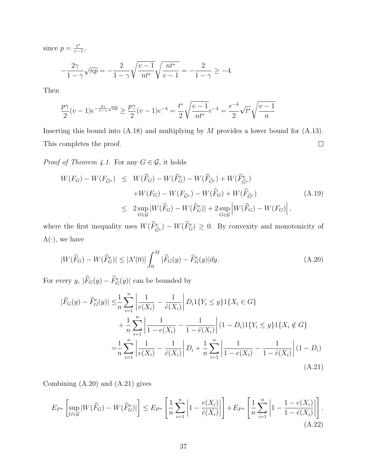since  $p = \frac{t^*}{v}$  $\frac{t^*}{v-1},$ 

$$
-\frac{2\gamma}{1-\gamma}\sqrt{np} = -\frac{2}{1-\gamma}\sqrt{\frac{v-1}{nt^*}}\sqrt{\frac{nt^*}{v-1}} = -\frac{2}{1-\gamma} \ge -4.
$$

Then

$$
\frac{p\gamma}{2}(v-1)e^{-\frac{2\gamma}{1-\gamma}\sqrt{np}} \ge \frac{p\gamma}{2}(v-1)e^{-4} = \frac{t^*}{2}\sqrt{\frac{v-1}{nt^*}}e^{-4} = \frac{e^{-4}}{2}\sqrt{t^*}\sqrt{\frac{v-1}{n}}
$$

Inserting this bound into  $(A.18)$  and multiplying by M provides a lower bound for  $(A.13)$ . This completes the proof.  $\Box$ 

*Proof of Theorem 4.1.* For any  $G \in \mathcal{G}$  , it holds

$$
W(F_G) - W(F_{\widehat{G}^e}) \leq W(\widehat{F}_G) - W(\widehat{F}_G^e) - W(\widehat{F}_{\widehat{G}^e}) + W(\widehat{F}_{\widehat{G}^e}^e)
$$
  
+ 
$$
W(F_G) - W(F_{\widehat{G}^e}) - W(\widehat{F}_G) + W(\widehat{F}_{\widehat{G}^e})
$$
  

$$
\leq 2 \sup_{G \in \mathcal{G}} |W(\widehat{F}_G) - W(\widehat{F}_G^e)| + 2 \sup_{G \in \mathcal{G}} \left| W(\widehat{F}_G) - W(F_G) \right|,
$$
 (A.19)

where the first inequality uses  $W(\hat{F}_{\hat{G}^e}^e) - W(\hat{F}_{G}^e) \ge 0$ . By convexity and monotonicity of  $\Lambda(\cdot)$ , we have

$$
|W(\widehat{F}_G) - W(\widehat{F}_G^e)| \le |\Lambda'(0)| \int_0^M |\widehat{F}_G(y) - \widehat{F}_G^e(y)| dy. \tag{A.20}
$$

For every  $y, |\hat{F}_G(y) - \hat{F}_G^e(y)|$  can be bounded by

$$
|\widehat{F}_G(y) - \widehat{F}_G^e(y)| \leq \frac{1}{n} \sum_{i=1}^n \left| \frac{1}{e(X_i)} - \frac{1}{\widehat{e}(X_i)} \right| D_i 1\{Y_i \leq y\} 1\{X_i \in G\} + \frac{1}{n} \sum_{i=1}^n \left| \frac{1}{1 - e(X_i)} - \frac{1}{1 - \widehat{e}(X_i)} \right| (1 - D_i) 1\{Y_i \leq y\} 1\{X_i \notin G\} = \frac{1}{n} \sum_{i=1}^n \left| \frac{1}{e(X_i)} - \frac{1}{\widehat{e}(X_i)} \right| D_i + \frac{1}{n} \sum_{i=1}^n \left| \frac{1}{1 - e(X_i)} - \frac{1}{1 - \widehat{e}(X_i)} \right| (1 - D_i)
$$
(A.21)

Combining (A.20) and (A.21) gives

$$
E_{P^n}\left[\sup_{G\in\mathcal{G}}|W(\widehat{F}_G) - W(\widehat{F}_G^e)|\right] \le E_{P^n}\left[\frac{1}{n}\sum_{i=1}^n \left|1 - \frac{e(X_i)}{\widehat{e}(X_i)}\right|\right] + E_{P^n}\left[\frac{1}{n}\sum_{i=1}^n \left|1 - \frac{1 - e(X_i)}{1 - \widehat{e}(X_i)}\right|\right].\tag{A.22}
$$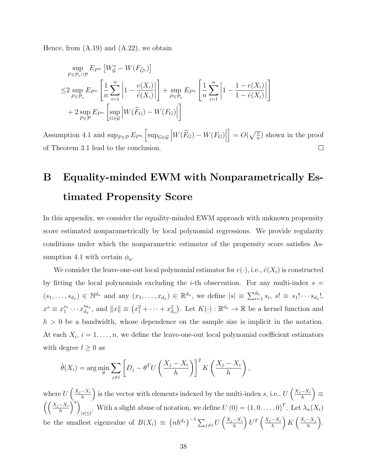Hence, from  $(A.19)$  and  $(A.22)$ , we obtain

$$
\sup_{P \in \mathcal{P}_e \cap \mathcal{P}} E_{P^n} \left[ W_g^* - W(F_{\widehat{G}^e}) \right]
$$
\n
$$
\leq 2 \sup_{P \in \mathcal{P}_e} E_{P^n} \left[ \frac{1}{n} \sum_{i=1}^n \left| 1 - \frac{e(X_i)}{\widehat{e}(X_i)} \right| \right] + \sup_{P \in \mathcal{P}_e} E_{P^n} \left[ \frac{1}{n} \sum_{i=1}^n \left| 1 - \frac{1 - e(X_i)}{1 - \widehat{e}(X_i)} \right| \right]
$$
\n
$$
+ 2 \sup_{P \in \mathcal{P}} E_{P^n} \left[ \sup_{G \in \mathcal{G}} \left| W(\widehat{F}_G) - W(F_G) \right| \right]
$$

Assumption 4.1 and  $\sup_{P \in \mathcal{P}} E_{P^n} \left[ \sup_{G \in \mathcal{G}} \left| W(\widehat{F}_G) - W(F_G) \right| \right]$  $\Big] = O(\sqrt{\frac{v}{n}})$  shown in the proof of Theorem 3.1 lead to the conclusion.  $\Box$ 

# B Equality-minded EWM with Nonparametrically Estimated Propensity Score

In this appendix, we consider the equality-minded EWM approach with unknown propensity score estimated nonparametrically by local polynomial regressions. We provide regularity conditions under which the nonparametric estimator of the propensity score satisfies Assumption 4.1 with certain  $\phi_n$ .

We consider the leave-one-out local polynomial estimator for  $e(\cdot)$ , i.e.,  $\hat{e}(X_i)$  is constructed by fitting the local polynomials excluding the *i*-th observation. For any multi-index  $s =$  $(s_1, \ldots, s_{d_x}) \in \mathbb{N}^{d_x}$  and any  $(x_1, \ldots, x_{d_x}) \in \mathbb{R}^{d_x}$ , we define  $|s| \equiv \sum_{i=1}^{d_x} s_i$ ,  $s! \equiv s_1! \cdots s_{d_x}!$ ,  $x^s \equiv x_1^{s_1} \cdots x_{d_x}^{s_{d_x}}$  $\mathcal{L}_{d_x}^{s_{d_x}}$ , and  $||x|| \equiv (x_1^2 + \cdots + x_{d_x}^2)$ . Let  $K(\cdot) : \mathbb{R}^{d_x} \to \mathbb{R}$  be a kernel function and  $h > 0$  be a bandwidth, whose dependence on the sample size is implicit in the notation. At each  $X_i$ ,  $i = 1, \ldots, n$ , we define the leave-one-out local polynomial coefficient estimators with degree  $l \geq 0$  as

$$
\hat{\theta}(X_i) = \arg\min_{\theta} \sum_{j \neq i} \left[ D_j - \theta^T U \left( \frac{X_j - X_i}{h} \right) \right]^2 K \left( \frac{X_j - X_i}{h} \right),
$$

where  $U\left(\frac{X_j-X_i}{h}\right)$  $\left(\frac{-X_i}{h}\right)$  is the vector with elements indexed by the multi-index s, i.e.,  $U\left(\frac{X_j-X_i}{h}\right)$  $\left(\frac{-X_i}{h}\right) \equiv$  $\left(\left(\frac{X_j-X_i}{h}\right)^s\right)$ With a slight abuse of notation, we define  $U(0) = (1, 0, \ldots, 0)^T$ . Let  $\lambda_n(X_i)$ be the smallest eigenvalue of  $B(X_i) \equiv (nh^{d_x})^{-1} \sum_{j \neq i} U\left(\frac{X_j - X_i}{h}\right)$  $\frac{-X_i}{h}\right) U^T\left(\frac{X_j-X_i}{h}\right)$  $\frac{-X_i}{h}\right) K\left(\frac{X_i-X_j}{h}\right)$  $\frac{-X_j}{h}\bigg).$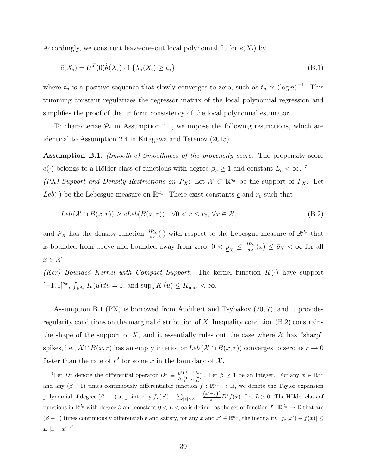Accordingly, we construct leave-one-out local polynomial fit for  $e(X_i)$  by

$$
\tilde{e}(X_i) = U^T(0)\hat{\theta}(X_i) \cdot 1\left\{\lambda_n(X_i) \ge t_n\right\} \tag{B.1}
$$

where  $t_n$  is a positive sequence that slowly converges to zero, such as  $t_n \propto (\log n)^{-1}$ . This trimming constant regularizes the regressor matrix of the local polynomial regression and simplifies the proof of the uniform consistency of the local polynomial estimator.

To characterize  $\mathcal{P}_e$  in Assumption 4.1, we impose the following restrictions, which are identical to Assumption 2.4 in Kitagawa and Tetenov (2015).

Assumption B.1. *(Smooth-e) Smoothness of the propensity score:* The propensity score  $e(\cdot)$  belongs to a Hölder class of functions with degree  $\beta_e \ge 1$  and constant  $L_e < \infty$ .<sup>7</sup>

(PX) Support and Density Restrictions on  $P_X$ : Let  $\mathcal{X} \subset \mathbb{R}^{d_x}$  be the support of  $P_X$ . Let Leb( $\cdot$ ) be the Lebesgue measure on  $\mathbb{R}^{d_x}$ . There exist constants  $\underline{c}$  and  $r_0$  such that

$$
Leb\left(\mathcal{X}\cap B(x,r)\right) \geq \underline{c}Leb(B(x,r)) \quad \forall 0 < r \leq r_0, \forall x \in \mathcal{X},\tag{B.2}
$$

and  $P_X$  has the density function  $\frac{dP_X}{dx}(\cdot)$  with respect to the Lebesgue measure of  $\mathbb{R}^{d_x}$  that is bounded from above and bounded away from zero,  $0 < \underline{p}_X \leq \frac{dP_X}{dx}(x) \leq \bar{p}_X < \infty$  for all  $x \in \mathcal{X}$ .

(Ker) Bounded Kernel with Compact Support: The kernel function  $K(\cdot)$  have support  $[-1, 1]^{d_x}, \int_{\mathbb{R}^{d_x}} K(u) du = 1$ , and  $\sup_u K(u) \le K_{\text{max}} < \infty$ .

Assumption B.1 (PX) is borrowed from Audibert and Tsybakov (2007), and it provides regularity conditions on the marginal distribution of X. Inequality condition (B.2) constrains the shape of the support of X, and it essentially rules out the case where  $\mathcal X$  has "sharp" spikes, i.e.,  $\mathcal{X} \cap B(x,r)$  has an empty interior or  $Leb(\mathcal{X} \cap B(x,r))$  converges to zero as  $r \to 0$ faster than the rate of  $r^2$  for some x in the boundary of  $\mathcal{X}$ .

<sup>&</sup>lt;sup>7</sup>Let  $D^s$  denote the differential operator  $D^s \equiv \frac{\partial^{s_1+\cdots+s_d}}{\partial^{s_1+\cdots+s_d}}$  $\frac{\partial^{s_1+\cdots+s_dx}}{\partial x_1^{s_1}\cdots x_d^{s_dx}}$ . Let  $\beta \geq 1$  be an integer. For any  $x \in \mathbb{R}^{d_x}$ and any  $(\beta - 1)$  times continuously differentiable function  $f : \mathbb{R}^{d_x} \to \mathbb{R}$ , we denote the Taylor expansion polynomial of degree  $(\beta - 1)$  at point  $x$  by  $f_x(x') \equiv \sum_{|s| \leq \beta - 1} \frac{(x'-x)^s}{s!} D^s f(x)$ . Let  $L > 0$ . The Hölder class of functions in  $\mathbb{R}^{d_x}$  with degree  $\beta$  and constant  $0 < L < \infty$  is defined as the set of function  $f : \mathbb{R}^{d_x} \to \mathbb{R}$  that are  $(\beta - 1)$  times continuously differentiable and satisfy, for any x and  $x' \in \mathbb{R}^{d_x}$ , the inequality  $|f_x(x') - f(x)| \le$ L  $||x - x'||^{\beta}$ .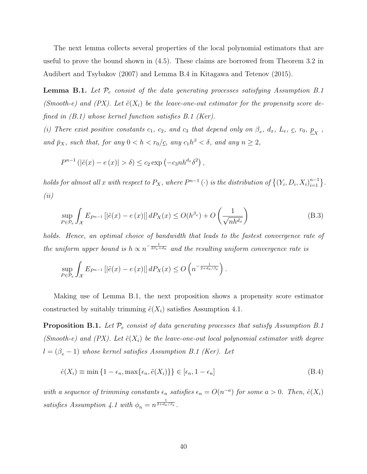The next lemma collects several properties of the local polynomial estimators that are useful to prove the bound shown in (4.5). These claims are borrowed from Theorem 3.2 in Audibert and Tsybakov (2007) and Lemma B.4 in Kitagawa and Tetenov (2015).

**Lemma B.1.** Let  $\mathcal{P}_e$  consist of the data generating processes satisfying Assumption B.1 (Smooth-e) and (PX). Let  $\tilde{e}(X_i)$  be the leave-one-out estimator for the propensity score defined in (B.1) whose kernel function satisfies B.1 (Ker).

(i) There exist positive constants  $c_1$ ,  $c_2$ , and  $c_3$  that depend only on  $\beta_e$ ,  $d_x$ ,  $L_e$ ,  $c$ ,  $r_0$ ,  $\underline{p}_X$ , and  $\bar{p}_X$ , such that, for any  $0 < h < r_0/\underline{c}$ , any  $c_1 h^{\beta} < \delta$ , and any  $n \geq 2$ ,

$$
P^{n-1}(|\tilde{e}(x) - e(x)| > \delta) \le c_2 \exp(-c_3 n h^{d_x} \delta^2),
$$

holds for almost all x with respect to  $P_X$ , where  $P^{n-1}(\cdot)$  is the distribution of  $\{(Y_i, D_i, X_i)_{i=1}^{n-1}\}$ . (ii)

$$
\sup_{P \in \mathcal{P}_e} \int_{\mathcal{X}} E_{P^{n-1}} \left[ \left| \tilde{e}(x) - e(x) \right| \right] dP_X(x) \le O(h^{\beta_e}) + O\left(\frac{1}{\sqrt{nh^{d_x}}}\right) \tag{B.3}
$$

holds. Hence, an optimal choice of bandwidth that leads to the fastest convergence rate of the uniform upper bound is  $h \propto n^{-\frac{1}{2\beta_e+d_x}}$  and the resulting uniform convergence rate is

$$
\sup_{P \in \mathcal{P}_e} \int_{\mathcal{X}} E_{P^{n-1}} \left[ \left| \tilde{e}(x) - e(x) \right| \right] dP_X(x) \leq O\left( n^{-\frac{1}{2+d_x/\beta_e}} \right).
$$

Making use of Lemma B.1, the next proposition shows a propensity score estimator constructed by suitably trimming  $\tilde{e}(X_i)$  satisfies Assumption 4.1.

**Proposition B.1.** Let  $\mathcal{P}_e$  consist of data generating processes that satisfy Assumption B.1 (Smooth-e) and (PX). Let  $\tilde{e}(X_i)$  be the leave-one-out local polynomial estimator with degree  $l = (\beta_e - 1)$  whose kernel satisfies Assumption B.1 (Ker). Let

$$
\hat{e}(X_i) \equiv \min\left\{1 - \epsilon_n, \max\{\epsilon_n, \tilde{e}(X_i)\}\right\} \in [\epsilon_n, 1 - \epsilon_n]
$$
\n(B.4)

with a sequence of trimming constants  $\epsilon_n$  satisfies  $\epsilon_n = O(n^{-a})$  for some  $a > 0$ . Then,  $\hat{e}(X_i)$ satisfies Assumption 4.1 with  $\phi_n = n^{\frac{1}{2+d_x/\beta_e}}$ .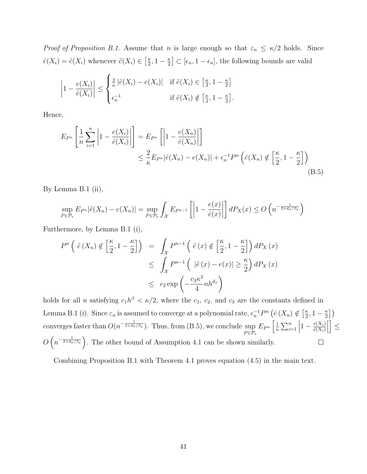*Proof of Proposition B.1.* Assume that *n* is large enough so that  $\varepsilon_n \leq \kappa/2$  holds. Since  $\hat{e}(X_i) = \tilde{e}(X_i)$  whenever  $\tilde{e}(X_i) \in \left[\frac{\kappa}{2}\right]$  $\frac{\kappa}{2}, 1-\frac{\kappa}{2}$  $\left[\frac{\kappa}{2}\right] \subset [\epsilon_n, 1 - \epsilon_n],$  the following bounds are valid

$$
\left|1 - \frac{e(X_i)}{\hat{e}(X_i)}\right| \le \begin{cases} \frac{2}{\kappa} \left|\tilde{e}(X_i) - e(X_i)\right| & \text{if } \tilde{e}(X_i) \in \left[\frac{\kappa}{2}, 1 - \frac{\kappa}{2}\right] \\ \epsilon_n^{-1} & \text{if } \tilde{e}(X_i) \notin \left[\frac{\kappa}{2}, 1 - \frac{\kappa}{2}\right]. \end{cases}
$$

Hence,

$$
E_{P^n}\left[\frac{1}{n}\sum_{i=1}^n \left|1 - \frac{e(X_i)}{\hat{e}(X_i)}\right|\right] = E_{P^n}\left[\left|1 - \frac{e(X_n)}{\hat{e}(X_n)}\right|\right]
$$
  

$$
\leq \frac{2}{\kappa} E_{P^n}|\tilde{e}(X_n) - e(X_n)| + \epsilon_n^{-1} P^n \left(\tilde{e}(X_n) \notin \left[\frac{\kappa}{2}, 1 - \frac{\kappa}{2}\right]\right)
$$
(B.5)

By Lemma B.1 (ii),

$$
\sup_{P \in \mathcal{P}_e} E_{P^n} |\tilde{e}(X_n) - e(X_n)| = \sup_{P \in \mathcal{P}_e} \int_{\mathcal{X}} E_{P^{n-1}} \left[ \left| 1 - \frac{e(x)}{\hat{e}(x)} \right| \right] dP_X(x) \le O\left(n^{-\frac{1}{2 + d_x/\beta_e}}\right)
$$

Furthermore, by Lemma B.1 (i),

$$
P^{n}\left(\tilde{e}\left(X_{n}\right) \notin \left[\frac{\kappa}{2}, 1-\frac{\kappa}{2}\right]\right) = \int_{\mathcal{X}} P^{n-1}\left(\tilde{e}\left(x\right) \notin \left[\frac{\kappa}{2}, 1-\frac{\kappa}{2}\right]\right) dP_{X}\left(x\right)
$$

$$
\leq \int_{\mathcal{X}} P^{n-1}\left(\left|\tilde{e}\left(x\right)-e(x)\right| \geq \frac{\kappa}{2}\right) dP_{X}\left(x\right)
$$

$$
\leq c_{2} \exp\left(-\frac{c_{3} \kappa^{2}}{4} n h^{d_{x}}\right)
$$

holds for all *n* satisfying  $c_1 h^{\beta} < \kappa/2$ , where the  $c_1, c_2$ , and  $c_3$  are the constants defined in Lemma B.1 (i). Since  $\varepsilon_n$  is assumed to converge at a polynomial rate,  $\epsilon_n^{-1}P^n(\hat{e}(X_n) \notin \left[\frac{\kappa}{2}\right]$  $\frac{\kappa}{2}, 1-\frac{\kappa}{2}$  $\frac{\kappa}{2} \Big]$ converges faster than  $O(n^{-\frac{1}{2+d_x/\beta_e}})$ . Thus, from (B.5), we conclude sup  $E_{P^n}\left[\frac{1}{n}\right]$  $\frac{1}{n} \sum_{i=1}^{n}$  $\begin{array}{c} \begin{array}{c} \begin{array}{c} \end{array}\\ \begin{array}{c} \end{array} \end{array} \end{array}$  $\vert \leq$  $1-\frac{e(X_i)}{\hat{e}(X_i)}$  $\hat{e}(X_i)$  $_{P \in \mathcal{P}_e}$  $O\left(n^{-\frac{1}{2+d_x/\beta_e}}\right)$ . The other bound of Assumption 4.1 can be shown similarly.  $\Box$ 

Combining Proposition B.1 with Theorem 4.1 proves equation (4.5) in the main text.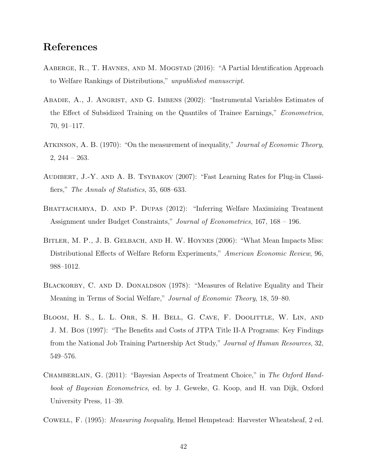# References

- AABERGE, R., T. HAVNES, AND M. MOGSTAD (2016): "A Partial Identification Approach to Welfare Rankings of Distributions," unpublished manuscript.
- Abadie, A., J. Angrist, and G. Imbens (2002): "Instrumental Variables Estimates of the Effect of Subsidized Training on the Quantiles of Trainee Earnings," Econometrica, 70, 91–117.
- ATKINSON, A. B. (1970): "On the measurement of inequality," *Journal of Economic Theory*, 2, 244 – 263.
- AUDIBERT, J.-Y. AND A. B. TSYBAKOV (2007): "Fast Learning Rates for Plug-in Classifiers," The Annals of Statistics, 35, 608–633.
- BHATTACHARYA, D. AND P. DUPAS (2012): "Inferring Welfare Maximizing Treatment Assignment under Budget Constraints," Journal of Econometrics, 167, 168 – 196.
- BITLER, M. P., J. B. GELBACH, AND H. W. HOYNES (2006): "What Mean Impacts Miss: Distributional Effects of Welfare Reform Experiments," American Economic Review, 96, 988–1012.
- BLACKORBY, C. AND D. DONALDSON (1978): "Measures of Relative Equality and Their Meaning in Terms of Social Welfare," Journal of Economic Theory, 18, 59–80.
- Bloom, H. S., L. L. Orr, S. H. Bell, G. Cave, F. Doolittle, W. Lin, and J. M. Bos (1997): "The Benefits and Costs of JTPA Title II-A Programs: Key Findings from the National Job Training Partnership Act Study," Journal of Human Resources, 32, 549–576.
- CHAMBERLAIN, G. (2011): "Bayesian Aspects of Treatment Choice," in The Oxford Handbook of Bayesian Econometrics, ed. by J. Geweke, G. Koop, and H. van Dijk, Oxford University Press, 11–39.
- Cowell, F. (1995): Measuring Inequality, Hemel Hempstead: Harvester Wheatsheaf, 2 ed.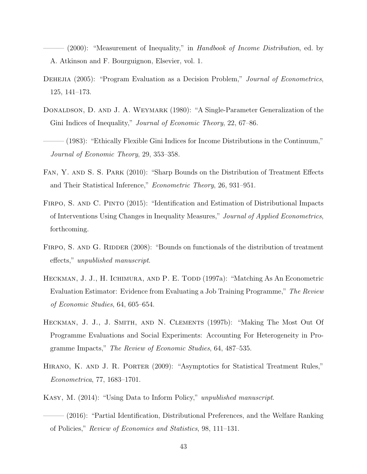- (2000): "Measurement of Inequality," in *Handbook of Income Distribution*, ed. by A. Atkinson and F. Bourguignon, Elsevier, vol. 1.

- DEHEJIA (2005): "Program Evaluation as a Decision Problem," Journal of Econometrics, 125, 141–173.
- DONALDSON, D. AND J. A. WEYMARK (1980): "A Single-Parameter Generalization of the Gini Indices of Inequality," *Journal of Economic Theory*, 22, 67–86.
- $(1983)$ : "Ethically Flexible Gini Indices for Income Distributions in the Continuum," Journal of Economic Theory, 29, 353–358.
- Fan, Y. and S. S. Park (2010): "Sharp Bounds on the Distribution of Treatment Effects and Their Statistical Inference," Econometric Theory, 26, 931–951.
- FIRPO, S. AND C. PINTO (2015): "Identification and Estimation of Distributional Impacts of Interventions Using Changes in Inequality Measures," Journal of Applied Econometrics, forthcoming.
- FIRPO, S. AND G. RIDDER (2008): "Bounds on functionals of the distribution of treatment effects," unpublished manuscript.
- HECKMAN, J. J., H. ICHIMURA, AND P. E. TODD (1997a): "Matching As An Econometric Evaluation Estimator: Evidence from Evaluating a Job Training Programme," The Review of Economic Studies, 64, 605–654.
- Heckman, J. J., J. Smith, and N. Clements (1997b): "Making The Most Out Of Programme Evaluations and Social Experiments: Accounting For Heterogeneity in Programme Impacts," The Review of Economic Studies, 64, 487–535.
- Hirano, K. and J. R. Porter (2009): "Asymptotics for Statistical Treatment Rules," Econometrica, 77, 1683–1701.
- Kasy, M. (2014): "Using Data to Inform Policy," unpublished manuscript.
- $(2016)$ : "Partial Identification, Distributional Preferences, and the Welfare Ranking of Policies," Review of Economics and Statistics, 98, 111–131.